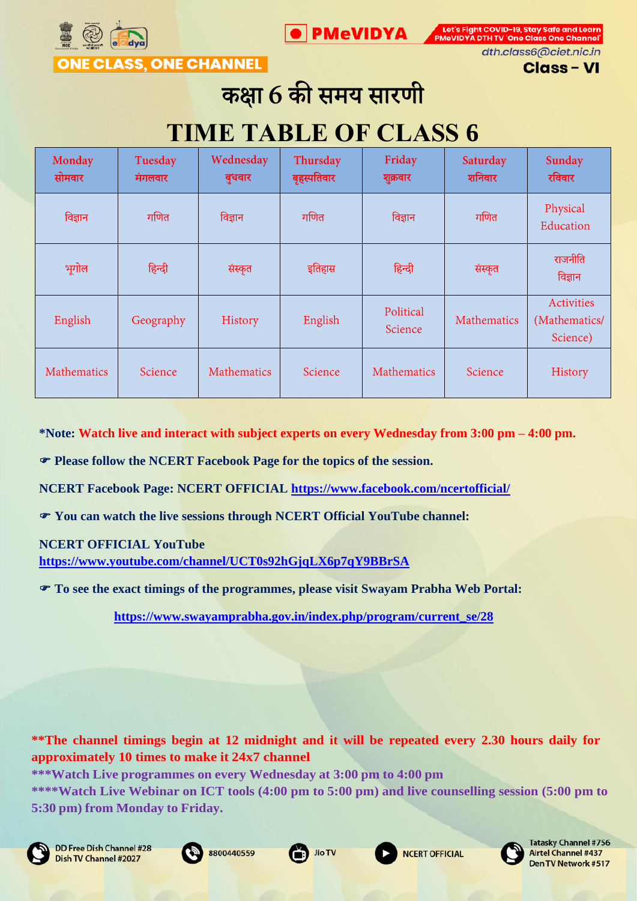



**ONE CLASS, ONE CHANNEL** 

dth.class6@ciet.nic.in **Class - VI** 

# कक्षा 6 की समय सारणी

# **TIME TABLE OF CLASS 6**

| Monday<br>सोमवार | Tuesday<br>मंगलवार | Wednesday<br>बुधवार | Thursday<br>बृहस्पतिवार | Friday<br>शुक्रवार   | Saturday<br>शनिवार | Sunday<br>रविवार                        |
|------------------|--------------------|---------------------|-------------------------|----------------------|--------------------|-----------------------------------------|
| विज्ञान          | गणित               | विज्ञान             | गणित                    | विज्ञान              | गणित               | Physical<br>Education                   |
| भूगोल            | हिन्दी             | संस्कृत             | इतिहास                  | हिन्दी               | संस्कृत            | राजनीति<br>विज्ञान                      |
| English          | Geography          | History             | English                 | Political<br>Science | Mathematics        | Activities<br>(Mathematics/<br>Science) |
| Mathematics      | Science            | <b>Mathematics</b>  | Science                 | <b>Mathematics</b>   | Science            | History                                 |

**\*Note: Watch live and interact with subject experts on every Wednesday from 3:00 pm – 4:00 pm.** 

**Please follow the NCERT Facebook Page for the topics of the session.**

**NCERT Facebook Page: NCERT OFFICIAL<https://www.facebook.com/ncertofficial/>**

**You can watch the live sessions through NCERT Official YouTube channel:** 

**NCERT OFFICIAL YouTube** 

**<https://www.youtube.com/channel/UCT0s92hGjqLX6p7qY9BBrSA>**

**To see the exact timings of the programmes, please visit Swayam Prabha Web Portal:**

**[https://www.swayamprabha.gov.in/index.php/program/current\\_se/28](https://www.swayamprabha.gov.in/index.php/program/current_se/28)**

**\*\*The channel timings begin at 12 midnight and it will be repeated every 2.30 hours daily for approximately 10 times to make it 24x7 channel**











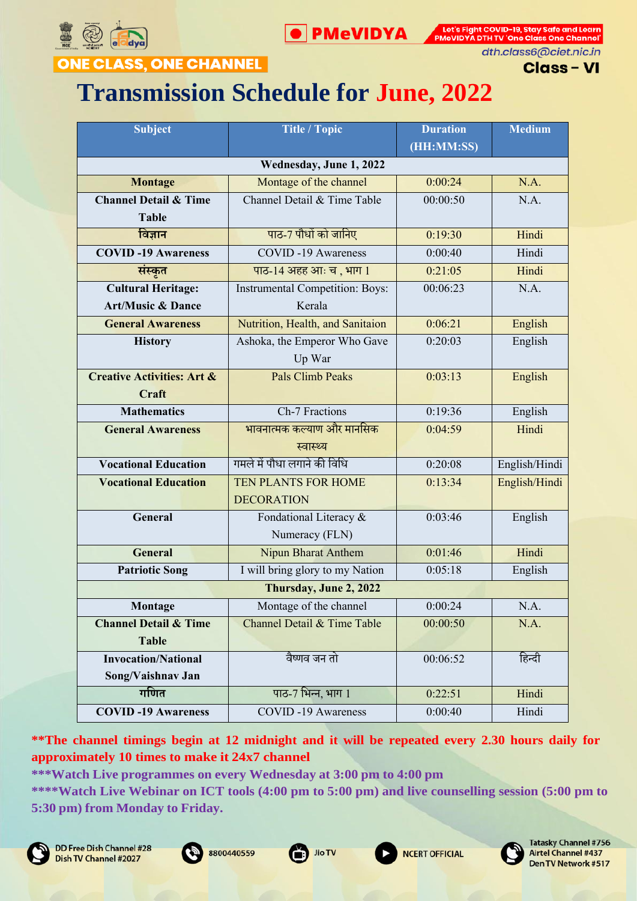



dth.class6@ciet.nic.in

**Class-VI** 

## **ONE CLASS, ONE CHANNEL**

# **Transmission Schedule for June, 2022**

| <b>Subject</b>                        | <b>Title / Topic</b>                   | <b>Duration</b> | <b>Medium</b> |
|---------------------------------------|----------------------------------------|-----------------|---------------|
|                                       |                                        | (HH:MM:SS)      |               |
|                                       | Wednesday, June 1, 2022                |                 |               |
| <b>Montage</b>                        | Montage of the channel                 | 0:00:24         | N.A.          |
| <b>Channel Detail &amp; Time</b>      | Channel Detail & Time Table            | 00:00:50        | N.A.          |
| <b>Table</b>                          |                                        |                 |               |
| विज्ञान                               | पाठ-7 पौधों को जानिए                   | 0:19:30         | Hindi         |
| <b>COVID-19 Awareness</b>             | <b>COVID-19 Awareness</b>              | 0:00:40         | Hindi         |
| संस्कृत                               | पाठ-14 अहह आः च, भाग 1                 | 0:21:05         | Hindi         |
| <b>Cultural Heritage:</b>             | <b>Instrumental Competition: Boys:</b> | 00:06:23        | N.A.          |
| <b>Art/Music &amp; Dance</b>          | Kerala                                 |                 |               |
| <b>General Awareness</b>              | Nutrition, Health, and Sanitaion       | 0:06:21         | English       |
| <b>History</b>                        | Ashoka, the Emperor Who Gave           | 0:20:03         | English       |
|                                       | Up War                                 |                 |               |
| <b>Creative Activities: Art &amp;</b> | <b>Pals Climb Peaks</b>                | 0:03:13         | English       |
| Craft                                 |                                        |                 |               |
| <b>Mathematics</b>                    | Ch-7 Fractions                         | 0:19:36         | English       |
| <b>General Awareness</b>              | भावनात्मक कल्याण और मानसिक             | 0:04:59         | Hindi         |
|                                       | स्वास्थ्य                              |                 |               |
| <b>Vocational Education</b>           | गमले में पौधा लगाने की विधि            | 0:20:08         | English/Hindi |
| <b>Vocational Education</b>           | TEN PLANTS FOR HOME                    | 0:13:34         | English/Hindi |
|                                       | <b>DECORATION</b>                      |                 |               |
| General                               | Fondational Literacy &                 | 0:03:46         | English       |
|                                       | Numeracy (FLN)                         |                 |               |
| <b>General</b>                        | <b>Nipun Bharat Anthem</b>             | 0:01:46         | Hindi         |
| <b>Patriotic Song</b>                 | I will bring glory to my Nation        | 0:05:18         | English       |
|                                       | Thursday, June 2, 2022                 |                 |               |
| Montage                               | Montage of the channel                 | 0:00:24         | N.A.          |
| <b>Channel Detail &amp; Time</b>      | Channel Detail & Time Table            | 00:00:50        | N.A.          |
| <b>Table</b>                          |                                        |                 |               |
| <b>Invocation/National</b>            | वैष्णव जन तो                           | 00:06:52        | हिन्दी        |
| Song/Vaishnav Jan                     |                                        |                 |               |
| गणित                                  | पाठ-7 भिन्न, भाग 1                     | 0:22:51         | Hindi         |
| <b>COVID-19 Awareness</b>             | <b>COVID-19 Awareness</b>              | 0:00:40         | Hindi         |

**\*\*The channel timings begin at 12 midnight and it will be repeated every 2.30 hours daily for approximately 10 times to make it 24x7 channel**

**\*\*\*Watch Live programmes on every Wednesday at 3:00 pm to 4:00 pm**

**\*\*\*\*Watch Live Webinar on ICT tools (4:00 pm to 5:00 pm) and live counselling session (5:00 pm to 5:30 pm) from Monday to Friday.**









**NCERT OFFICIAL** 

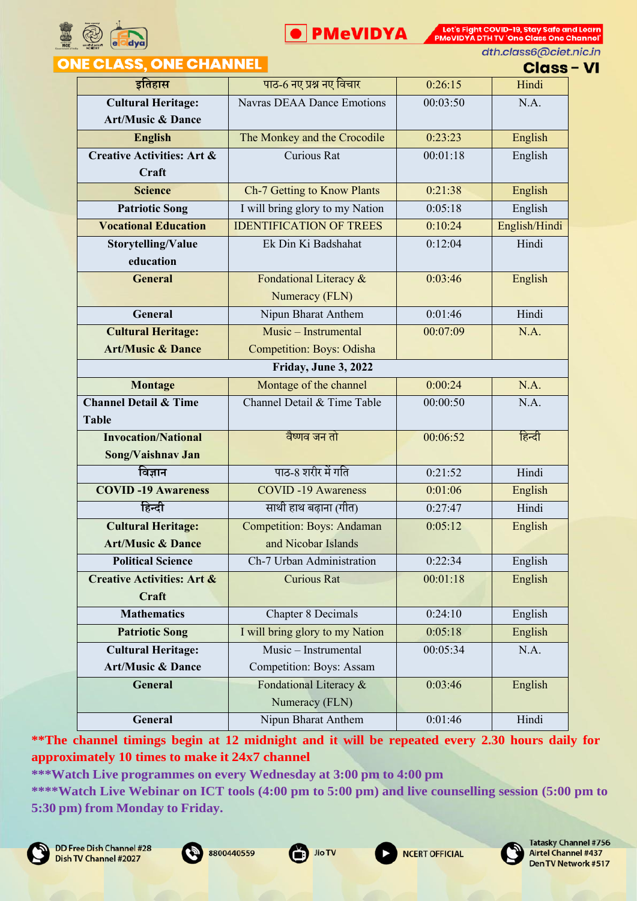



dth.class6@ciet.nic.in

#### **ONE CLASS, ONE CHANNEL**

**Class - VI** 

|                                       |                                   |          | ,,,,,         |
|---------------------------------------|-----------------------------------|----------|---------------|
| इतिहास                                | पाठ-6 नए प्रश्न नए विचार          | 0:26:15  | Hindi         |
| <b>Cultural Heritage:</b>             | <b>Navras DEAA Dance Emotions</b> | 00:03:50 | N.A.          |
| <b>Art/Music &amp; Dance</b>          |                                   |          |               |
| <b>English</b>                        | The Monkey and the Crocodile      | 0:23:23  | English       |
| <b>Creative Activities: Art &amp;</b> | Curious Rat                       | 00:01:18 | English       |
| Craft                                 |                                   |          |               |
| <b>Science</b>                        | Ch-7 Getting to Know Plants       | 0:21:38  | English       |
| <b>Patriotic Song</b>                 | I will bring glory to my Nation   | 0:05:18  | English       |
| <b>Vocational Education</b>           | <b>IDENTIFICATION OF TREES</b>    | 0:10:24  | English/Hindi |
| Storytelling/Value                    | Ek Din Ki Badshahat               | 0:12:04  | Hindi         |
| education                             |                                   |          |               |
| <b>General</b>                        | Fondational Literacy &            | 0:03:46  | English       |
|                                       | Numeracy (FLN)                    |          |               |
| General                               | Nipun Bharat Anthem               | 0:01:46  | Hindi         |
| <b>Cultural Heritage:</b>             | Music - Instrumental              | 00:07:09 | N.A.          |
| <b>Art/Music &amp; Dance</b>          | <b>Competition: Boys: Odisha</b>  |          |               |
|                                       | Friday, June 3, 2022              |          |               |
| <b>Montage</b>                        | Montage of the channel            | 0:00:24  | N.A.          |
| <b>Channel Detail &amp; Time</b>      | Channel Detail & Time Table       | 00:00:50 | N.A.          |
| <b>Table</b>                          |                                   |          |               |
| <b>Invocation/National</b>            | वैष्णव जन तो                      | 00:06:52 | हिन्दी        |
| Song/Vaishnav Jan                     |                                   |          |               |
| विज्ञान                               | पाठ-8 शरीर में गति                | 0:21:52  | Hindi         |
| <b>COVID-19 Awareness</b>             | <b>COVID-19 Awareness</b>         | 0:01:06  | English       |
| हिन्दी                                | साथी हाथ बढ़ाना (गीत)             | 0:27:47  | Hindi         |
| <b>Cultural Heritage:</b>             | <b>Competition: Boys: Andaman</b> | 0:05:12  | English       |
| <b>Art/Music &amp; Dance</b>          | and Nicobar Islands               |          |               |
| <b>Political Science</b>              | Ch-7 Urban Administration         | 0:22:34  | English       |
| <b>Creative Activities: Art &amp;</b> | <b>Curious Rat</b>                | 00:01:18 | English       |
| Craft                                 |                                   |          |               |
| <b>Mathematics</b>                    | <b>Chapter 8 Decimals</b>         | 0:24:10  | English       |
| <b>Patriotic Song</b>                 | I will bring glory to my Nation   | 0:05:18  | English       |
| <b>Cultural Heritage:</b>             | Music - Instrumental              | 00:05:34 | N.A.          |
| <b>Art/Music &amp; Dance</b>          | Competition: Boys: Assam          |          |               |
| General                               | Fondational Literacy &            | 0:03:46  | English       |
|                                       | Numeracy (FLN)                    |          |               |
| General                               | Nipun Bharat Anthem               | 0:01:46  | Hindi         |

**\*\*The channel timings begin at 12 midnight and it will be repeated every 2.30 hours daily for approximately 10 times to make it 24x7 channel**

**\*\*\*Watch Live programmes on every Wednesday at 3:00 pm to 4:00 pm**









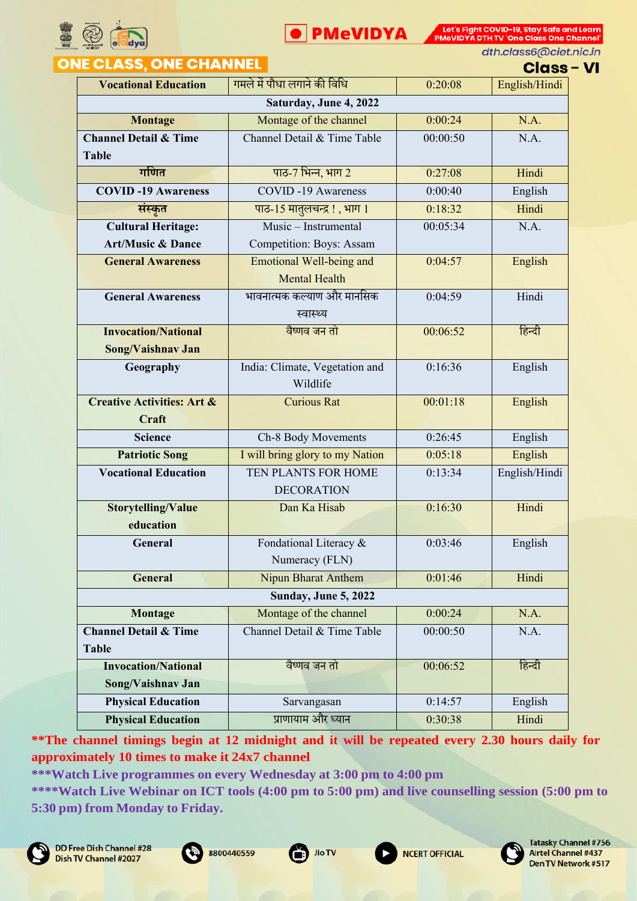



dth.class6@ciet.nic.in

# **ONE CLASS, ONE CHANNEL**

**Class - VI** 

| <b>Vocational Education</b>           | गमले में पौधा लगाने की विधि     | 0:20:08  | English/Hindi |
|---------------------------------------|---------------------------------|----------|---------------|
|                                       | Saturday, June 4, 2022          |          |               |
| <b>Montage</b>                        | Montage of the channel          | 0:00:24  | N.A.          |
| <b>Channel Detail &amp; Time</b>      | Channel Detail & Time Table     | 00:00:50 | N.A.          |
| <b>Table</b>                          |                                 |          |               |
| गणित                                  | पाठ-7 भिन्न, भाग 2              | 0:27:08  | Hindi         |
| <b>COVID-19 Awareness</b>             | <b>COVID-19 Awareness</b>       | 0:00:40  | English       |
| संस्कृत                               | पाठ-15 मातुलचन्द्र!, भाग 1      | 0:18:32  | Hindi         |
| <b>Cultural Heritage:</b>             | Music – Instrumental            | 00:05:34 | N.A.          |
| <b>Art/Music &amp; Dance</b>          | Competition: Boys: Assam        |          |               |
| <b>General Awareness</b>              | <b>Emotional Well-being and</b> | 0:04:57  | English       |
|                                       | <b>Mental Health</b>            |          |               |
| <b>General Awareness</b>              | भावनात्मक कल्याण और मानसिक      | 0:04:59  | Hindi         |
|                                       | स्वास्थ्य                       |          |               |
| <b>Invocation/National</b>            | वैष्णव जन तो                    | 00:06:52 | हिन्दी        |
| Song/Vaishnav Jan                     |                                 |          |               |
| Geography                             | India: Climate, Vegetation and  | 0:16:36  | English       |
|                                       | Wildlife                        |          |               |
| <b>Creative Activities: Art &amp;</b> | <b>Curious Rat</b>              | 00:01:18 | English       |
| Craft                                 |                                 |          |               |
| <b>Science</b>                        | Ch-8 Body Movements             | 0:26:45  | English       |
| <b>Patriotic Song</b>                 | I will bring glory to my Nation | 0:05:18  | English       |
| <b>Vocational Education</b>           | TEN PLANTS FOR HOME             | 0:13:34  | English/Hindi |
|                                       | <b>DECORATION</b>               |          |               |
| <b>Storytelling/Value</b>             | Dan Ka Hisab                    | 0:16:30  | Hindi         |
| education                             |                                 |          |               |
| General                               | Fondational Literacy &          | 0:03:46  | English       |
|                                       | Numeracy (FLN)                  |          |               |
| General                               | Nipun Bharat Anthem             | 0:01:46  | Hindi         |
|                                       | <b>Sunday, June 5, 2022</b>     |          |               |
| Montage                               | Montage of the channel          | 0:00:24  | N.A.          |
| <b>Channel Detail &amp; Time</b>      | Channel Detail & Time Table     | 00:00:50 | N.A.          |
| <b>Table</b>                          |                                 |          |               |
| <b>Invocation/National</b>            | वैष्णव जन तो                    | 00:06:52 | हिन्दी        |
| Song/Vaishnav Jan                     |                                 |          |               |
| <b>Physical Education</b>             | Sarvangasan                     | 0:14:57  | English       |
| <b>Physical Education</b>             | प्राणायाम और ध्यान              | 0:30:38  | Hindi         |

**\*\*The channel timings begin at 12 midnight and it will be repeated every 2.30 hours daily for approximately 10 times to make it 24x7 channel**

**\*\*\*Watch Live programmes on every Wednesday at 3:00 pm to 4:00 pm**







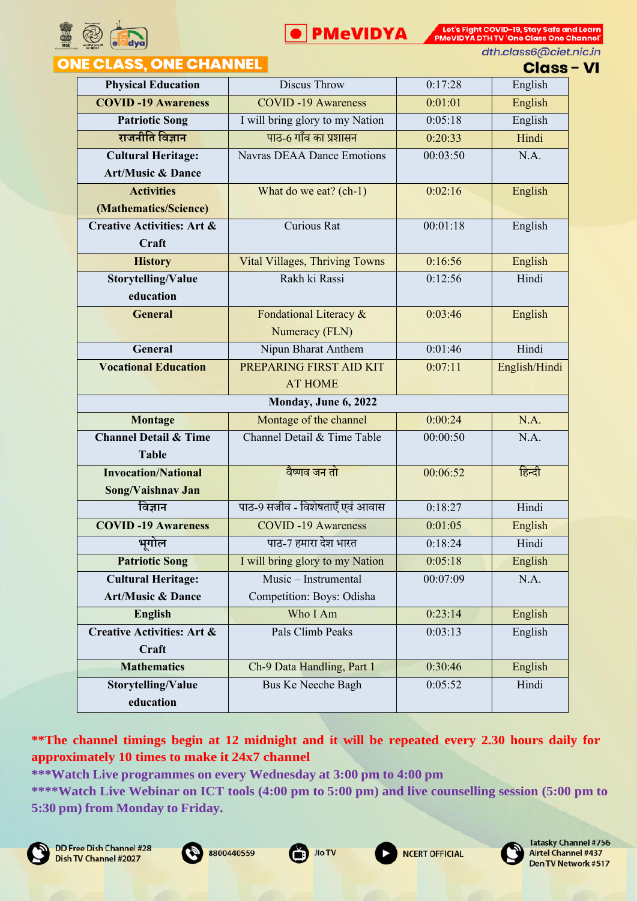



dth.class6@ciet.nic.in

#### **ASS. ONE CHANNEL ONE CL**

**Class - VI** 

| .                                     |                                       |          | UIUSS         |
|---------------------------------------|---------------------------------------|----------|---------------|
| <b>Physical Education</b>             | Discus Throw                          | 0:17:28  | English       |
| <b>COVID-19 Awareness</b>             | <b>COVID-19 Awareness</b>             | 0:01:01  | English       |
| <b>Patriotic Song</b>                 | I will bring glory to my Nation       | 0:05:18  | English       |
| राजनीति विज्ञान                       | पाठ-6 गाँव का प्रशासन                 | 0:20:33  | Hindi         |
| <b>Cultural Heritage:</b>             | <b>Navras DEAA Dance Emotions</b>     | 00:03:50 | N.A.          |
| <b>Art/Music &amp; Dance</b>          |                                       |          |               |
| <b>Activities</b>                     | What do we eat? (ch-1)                | 0:02:16  | English       |
| (Mathematics/Science)                 |                                       |          |               |
| <b>Creative Activities: Art &amp;</b> | <b>Curious Rat</b>                    | 00:01:18 | English       |
| Craft                                 |                                       |          |               |
| <b>History</b>                        | <b>Vital Villages, Thriving Towns</b> | 0:16:56  | English       |
| Storytelling/Value                    | Rakh ki Rassi                         | 0:12:56  | Hindi         |
| education                             |                                       |          |               |
| <b>General</b>                        | Fondational Literacy &                | 0:03:46  | English       |
|                                       | Numeracy (FLN)                        |          |               |
| General                               | Nipun Bharat Anthem                   | 0:01:46  | Hindi         |
| <b>Vocational Education</b>           | PREPARING FIRST AID KIT               | 0:07:11  | English/Hindi |
|                                       | <b>AT HOME</b>                        |          |               |
|                                       | Monday, June 6, 2022                  |          |               |
| Montage                               | Montage of the channel                | 0:00:24  | N.A.          |
| <b>Channel Detail &amp; Time</b>      | Channel Detail & Time Table           | 00:00:50 | N.A.          |
| <b>Table</b>                          |                                       |          |               |
| <b>Invocation/National</b>            | वैष्णव जन तो                          | 00:06:52 | हिन्दी        |
| Song/Vaishnav Jan                     |                                       |          |               |
| विज्ञान                               | पाठ-9 सजीव - विशेषताएँ एवं आवास       | 0:18:27  | Hindi         |
| <b>COVID-19 Awareness</b>             | <b>COVID-19 Awareness</b>             | 0:01:05  | English       |
| भूगोल                                 | पाठ-7 हमारा देश भारत                  | 0:18:24  | Hindi         |
| <b>Patriotic Song</b>                 | I will bring glory to my Nation       | 0:05:18  | English       |
| <b>Cultural Heritage:</b>             | Music - Instrumental                  | 00:07:09 | N.A.          |
| <b>Art/Music &amp; Dance</b>          | Competition: Boys: Odisha             |          |               |
| <b>English</b>                        | Who I Am                              | 0:23:14  | English       |
| <b>Creative Activities: Art &amp;</b> | Pals Climb Peaks                      | 0:03:13  | English       |
| Craft                                 |                                       |          |               |
| <b>Mathematics</b>                    | Ch-9 Data Handling, Part 1            | 0:30:46  | English       |
| Storytelling/Value                    | <b>Bus Ke Neeche Bagh</b>             | 0:05:52  | Hindi         |
| education                             |                                       |          |               |

**\*\*The channel timings begin at 12 midnight and it will be repeated every 2.30 hours daily for approximately 10 times to make it 24x7 channel**











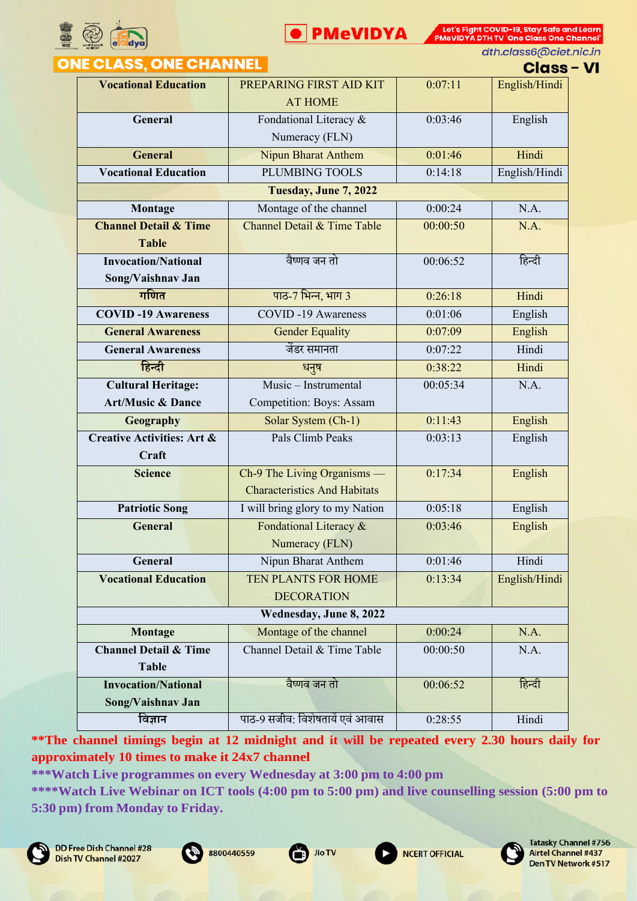



dth.class6@ciet.nic.in

#### **ONE CLASS, ONE CHANNEL**

**Class - VI** 

| ____________________                  |                                     |          | ๛๛            |
|---------------------------------------|-------------------------------------|----------|---------------|
| <b>Vocational Education</b>           | PREPARING FIRST AID KIT             | 0:07:11  | English/Hindi |
|                                       | <b>AT HOME</b>                      |          |               |
| General                               | Fondational Literacy &              | 0:03:46  | English       |
|                                       | Numeracy (FLN)                      |          |               |
| <b>General</b>                        | <b>Nipun Bharat Anthem</b>          | 0:01:46  | Hindi         |
| <b>Vocational Education</b>           | <b>PLUMBING TOOLS</b>               | 0:14:18  | English/Hindi |
|                                       | Tuesday, June 7, 2022               |          |               |
| Montage                               | Montage of the channel              | 0:00:24  | N.A.          |
| <b>Channel Detail &amp; Time</b>      | Channel Detail & Time Table         | 00:00:50 | N.A.          |
| <b>Table</b>                          |                                     |          |               |
| <b>Invocation/National</b>            | वैष्णव जन तो                        | 00:06:52 | हिन्दी        |
| Song/Vaishnav Jan                     |                                     |          |               |
| गणित                                  | पाठ-7 भिन्न, भाग 3                  | 0:26:18  | Hindi         |
| <b>COVID-19 Awareness</b>             | <b>COVID-19 Awareness</b>           | 0:01:06  | English       |
| <b>General Awareness</b>              | <b>Gender Equality</b>              | 0:07:09  | English       |
| <b>General Awareness</b>              | जेंडर समानता                        | 0:07:22  | Hindi         |
| हिन्दी                                | धनुष                                | 0:38:22  | Hindi         |
| <b>Cultural Heritage:</b>             | Music - Instrumental                | 00:05:34 | N.A.          |
| <b>Art/Music &amp; Dance</b>          | Competition: Boys: Assam            |          |               |
| Geography                             | Solar System (Ch-1)                 | 0:11:43  | English       |
| <b>Creative Activities: Art &amp;</b> | Pals Climb Peaks                    | 0:03:13  | English       |
| Craft                                 |                                     |          |               |
| <b>Science</b>                        | Ch-9 The Living Organisms —         | 0:17:34  | English       |
|                                       | <b>Characteristics And Habitats</b> |          |               |
| <b>Patriotic Song</b>                 | I will bring glory to my Nation     | 0:05:18  | English       |
| <b>General</b>                        | Fondational Literacy &              | 0:03:46  | English       |
|                                       | Numeracy (FLN)                      |          |               |
| General                               | Nipun Bharat Anthem                 | 0:01:46  | Hindi         |
| <b>Vocational Education</b>           | TEN PLANTS FOR HOME                 | 0:13:34  | English/Hindi |
|                                       | <b>DECORATION</b>                   |          |               |
|                                       |                                     |          |               |
| Montage                               | Montage of the channel              | 0:00:24  | N.A.          |
| <b>Channel Detail &amp; Time</b>      | Channel Detail & Time Table         | 00:00:50 | N.A.          |
| <b>Table</b>                          |                                     |          |               |
| <b>Invocation/National</b>            | वैष्णव जन तो                        | 00:06:52 | हिन्दी        |
| Song/Vaishnav Jan                     |                                     |          |               |
| विज्ञान                               | पाठ-9 सजीव: विशेषतायें एवं आवास     | 0:28:55  | Hindi         |

**\*\*The channel timings begin at 12 midnight and it will be repeated every 2.30 hours daily for approximately 10 times to make it 24x7 channel**

**\*\*\*Watch Live programmes on every Wednesday at 3:00 pm to 4:00 pm**











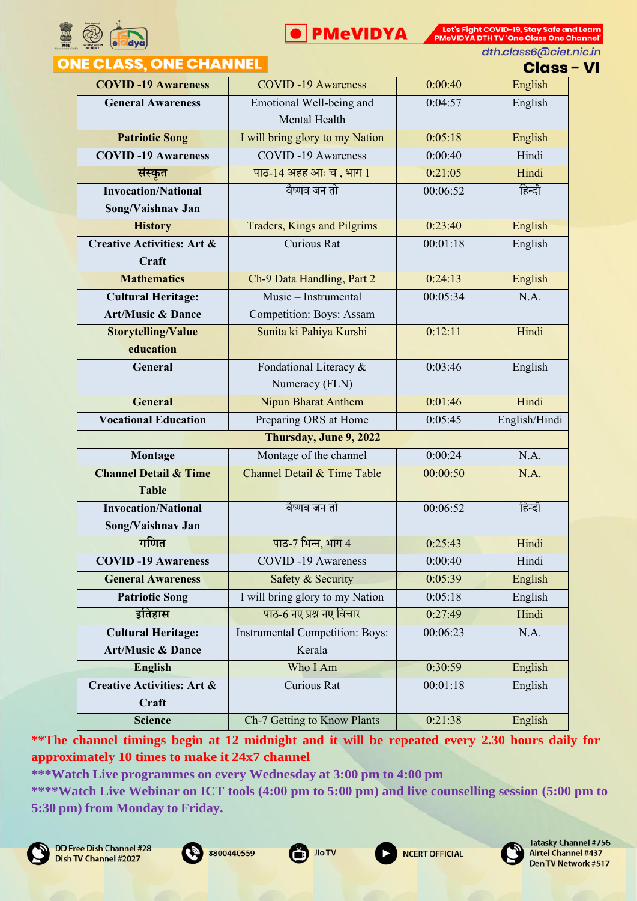



dth.class6@ciet.nic.in

# **ONE CLASS, ONE CHANNEL**

**Class - VI** 

|                                       |                                        |          | ๛๛            |
|---------------------------------------|----------------------------------------|----------|---------------|
| <b>COVID-19 Awareness</b>             | <b>COVID-19 Awareness</b>              | 0:00:40  | English       |
| <b>General Awareness</b>              | Emotional Well-being and               | 0:04:57  | English       |
|                                       | Mental Health                          |          |               |
| <b>Patriotic Song</b>                 | I will bring glory to my Nation        | 0:05:18  | English       |
| <b>COVID-19 Awareness</b>             | <b>COVID-19 Awareness</b>              | 0:00:40  | Hindi         |
| संस्कृत                               | पाठ-14 अहह आः च, भाग 1                 | 0:21:05  | Hindi         |
| <b>Invocation/National</b>            | वैष्णव जन तो                           | 00:06:52 | हिन्दी        |
| Song/Vaishnav Jan                     |                                        |          |               |
| <b>History</b>                        | Traders, Kings and Pilgrims            | 0:23:40  | English       |
| <b>Creative Activities: Art &amp;</b> | <b>Curious Rat</b>                     | 00:01:18 | English       |
| Craft                                 |                                        |          |               |
| <b>Mathematics</b>                    | Ch-9 Data Handling, Part 2             | 0:24:13  | English       |
| <b>Cultural Heritage:</b>             | Music - Instrumental                   | 00:05:34 | N.A.          |
| <b>Art/Music &amp; Dance</b>          | Competition: Boys: Assam               |          |               |
| <b>Storytelling/Value</b>             | Sunita ki Pahiya Kurshi                | 0:12:11  | Hindi         |
| education                             |                                        |          |               |
| General                               | Fondational Literacy &                 | 0:03:46  | English       |
|                                       | Numeracy (FLN)                         |          |               |
| <b>General</b>                        | <b>Nipun Bharat Anthem</b>             | 0:01:46  | Hindi         |
| <b>Vocational Education</b>           | Preparing ORS at Home                  | 0:05:45  | English/Hindi |
|                                       | Thursday, June 9, 2022                 |          |               |
| Montage                               | Montage of the channel                 | 0:00:24  | N.A.          |
| <b>Channel Detail &amp; Time</b>      | Channel Detail & Time Table            | 00:00:50 | N.A.          |
| <b>Table</b>                          |                                        |          |               |
| <b>Invocation/National</b>            | वैष्णव जन तो                           | 00:06:52 | हिन्दी        |
| Song/Vaishnav Jan                     |                                        |          |               |
| गणित                                  | पाठ-7 भिन्न, भाग 4                     | 0:25:43  | Hindi         |
| <b>COVID-19 Awareness</b>             | <b>COVID-19 Awareness</b>              | 0:00:40  | Hindi         |
| <b>General Awareness</b>              | Safety & Security                      | 0:05:39  | English       |
| <b>Patriotic Song</b>                 | I will bring glory to my Nation        | 0:05:18  | English       |
| इतिहास                                | पाठ-6 नए प्रश्न नए विचार               | 0:27:49  | Hindi         |
| <b>Cultural Heritage:</b>             | <b>Instrumental Competition: Boys:</b> | 00:06:23 | N.A.          |
| <b>Art/Music &amp; Dance</b>          | Kerala                                 |          |               |
| <b>English</b>                        | Who I Am                               | 0:30:59  | English       |
| <b>Creative Activities: Art &amp;</b> | Curious Rat                            | 00:01:18 | English       |
| Craft                                 |                                        |          |               |
| <b>Science</b>                        | Ch-7 Getting to Know Plants            | 0:21:38  | English       |

**\*\*The channel timings begin at 12 midnight and it will be repeated every 2.30 hours daily for approximately 10 times to make it 24x7 channel**

**\*\*\*Watch Live programmes on every Wednesday at 3:00 pm to 4:00 pm**

**\*\*\*\*Watch Live Webinar on ICT tools (4:00 pm to 5:00 pm) and live counselling session (5:00 pm to 5:30 pm) from Monday to Friday.**







**NCERT OFFICIAL** 

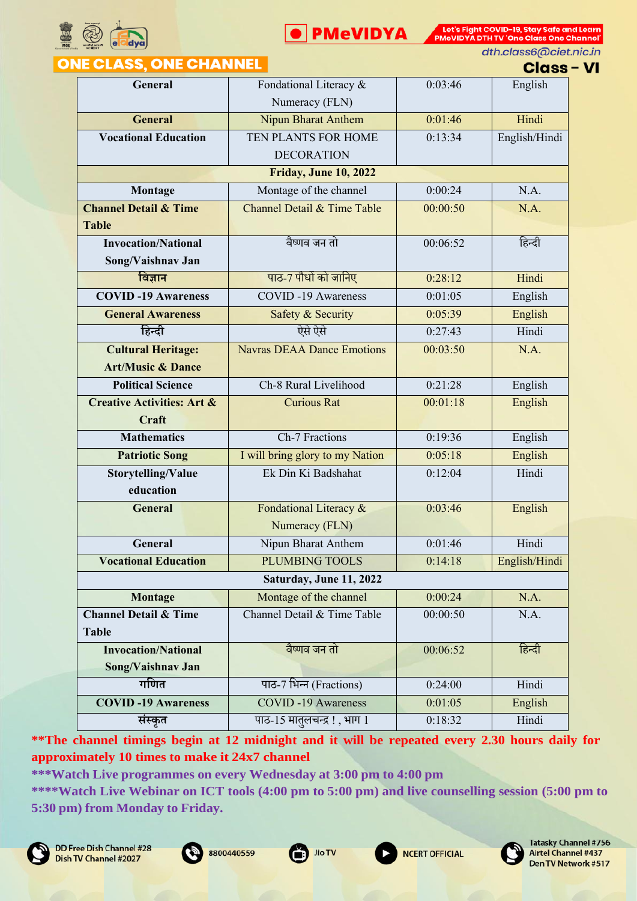



dth.class6@ciet.nic.in

## **ONE CLASS, ONE CHANNEL**

| Class – VI |  |  |  |  |
|------------|--|--|--|--|

| General                               | Fondational Literacy &            | 0:03:46  | English       |
|---------------------------------------|-----------------------------------|----------|---------------|
|                                       | Numeracy (FLN)                    |          |               |
| <b>General</b>                        | Nipun Bharat Anthem               | 0:01:46  | Hindi         |
| <b>Vocational Education</b>           | TEN PLANTS FOR HOME               | 0:13:34  | English/Hindi |
|                                       | <b>DECORATION</b>                 |          |               |
|                                       | <b>Friday, June 10, 2022</b>      |          |               |
| Montage                               | Montage of the channel            | 0:00:24  | N.A.          |
| <b>Channel Detail &amp; Time</b>      | Channel Detail & Time Table       | 00:00:50 | N.A.          |
| <b>Table</b>                          |                                   |          |               |
| <b>Invocation/National</b>            | वैष्णव जन तो                      | 00:06:52 | हिन्दी        |
| Song/Vaishnav Jan                     |                                   |          |               |
| विज्ञान                               | पाठ-7 पौधों को जानिए              | 0:28:12  | Hindi         |
| <b>COVID-19 Awareness</b>             | <b>COVID-19 Awareness</b>         | 0:01:05  | English       |
| <b>General Awareness</b>              | Safety & Security                 | 0:05:39  | English       |
| हिन्दी                                | ऐसे ऐसे                           | 0:27:43  | Hindi         |
| <b>Cultural Heritage:</b>             | <b>Navras DEAA Dance Emotions</b> | 00:03:50 | N.A.          |
| <b>Art/Music &amp; Dance</b>          |                                   |          |               |
| <b>Political Science</b>              | Ch-8 Rural Livelihood             | 0:21:28  | English       |
| <b>Creative Activities: Art &amp;</b> | <b>Curious Rat</b>                | 00:01:18 | English       |
| Craft                                 |                                   |          |               |
| <b>Mathematics</b>                    | Ch-7 Fractions                    | 0:19:36  | English       |
| <b>Patriotic Song</b>                 | I will bring glory to my Nation   | 0:05:18  | English       |
| Storytelling/Value                    | Ek Din Ki Badshahat               | 0:12:04  | Hindi         |
| education                             |                                   |          |               |
| General                               | Fondational Literacy &            | 0:03:46  | English       |
|                                       | Numeracy (FLN)                    |          |               |
| General                               | Nipun Bharat Anthem               | 0:01:46  | Hindi         |
| <b>Vocational Education</b>           | <b>PLUMBING TOOLS</b>             | 0:14:18  | English/Hindi |
|                                       | Saturday, June 11, 2022           |          |               |
| Montage                               | Montage of the channel            | 0:00:24  | N.A.          |
| <b>Channel Detail &amp; Time</b>      | Channel Detail & Time Table       | 00:00:50 | N.A.          |
| <b>Table</b>                          |                                   |          |               |
| <b>Invocation/National</b>            | वैष्णव जन तो                      | 00:06:52 | हिन्दी        |
| Song/Vaishnav Jan                     |                                   |          |               |
| गणित                                  | पाठ-7 भिन्न (Fractions)           | 0:24:00  | Hindi         |
| <b>COVID-19 Awareness</b>             | <b>COVID-19 Awareness</b>         | 0:01:05  | English       |
| संस्कृत                               | पाठ-15 मातुलचन्द्र!, भाग 1        | 0:18:32  | Hindi         |

**\*\*The channel timings begin at 12 midnight and it will be repeated every 2.30 hours daily for approximately 10 times to make it 24x7 channel**

**\*\*\*Watch Live programmes on every Wednesday at 3:00 pm to 4:00 pm**







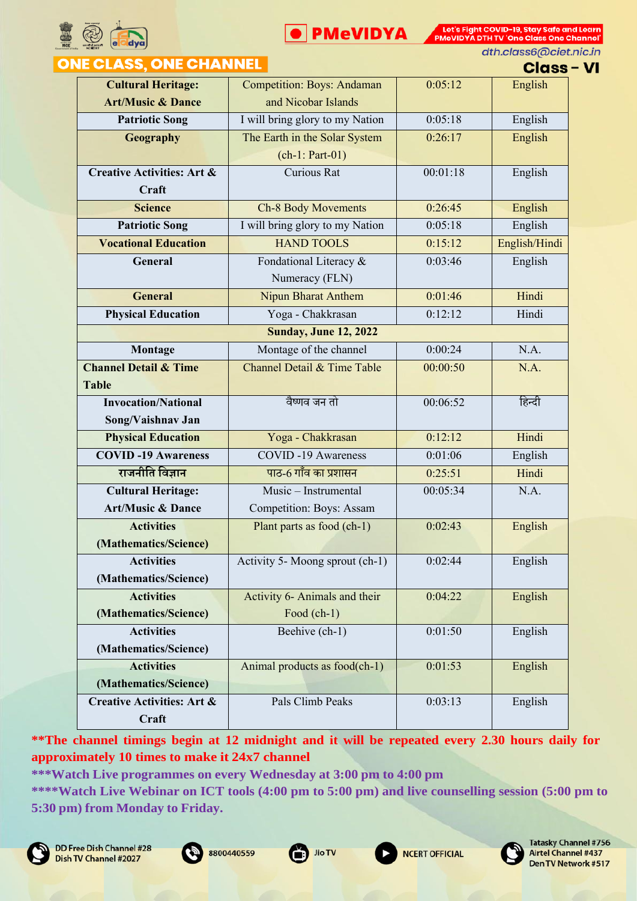



dth.class6@ciet.nic.in

## **ONE CLASS, ONE CHANNEL**

**Class - VI** 

|                                       |                                   |          | ษเนธธ         |
|---------------------------------------|-----------------------------------|----------|---------------|
| <b>Cultural Heritage:</b>             | <b>Competition: Boys: Andaman</b> | 0:05:12  | English       |
| <b>Art/Music &amp; Dance</b>          | and Nicobar Islands               |          |               |
| <b>Patriotic Song</b>                 | I will bring glory to my Nation   | 0:05:18  | English       |
| Geography                             | The Earth in the Solar System     | 0:26:17  | English       |
|                                       | $(ch-1: Part-01)$                 |          |               |
| <b>Creative Activities: Art &amp;</b> | <b>Curious Rat</b>                | 00:01:18 | English       |
| Craft                                 |                                   |          |               |
| <b>Science</b>                        | <b>Ch-8 Body Movements</b>        | 0:26:45  | English       |
| <b>Patriotic Song</b>                 | I will bring glory to my Nation   | 0:05:18  | English       |
| <b>Vocational Education</b>           | <b>HAND TOOLS</b>                 | 0:15:12  | English/Hindi |
| General                               | Fondational Literacy &            | 0:03:46  | English       |
|                                       | Numeracy (FLN)                    |          |               |
| <b>General</b>                        | Nipun Bharat Anthem               | 0:01:46  | Hindi         |
| <b>Physical Education</b>             | Yoga - Chakkrasan                 | 0:12:12  | Hindi         |
|                                       | <b>Sunday, June 12, 2022</b>      |          |               |
| Montage                               | Montage of the channel            | 0:00:24  | N.A.          |
| <b>Channel Detail &amp; Time</b>      | Channel Detail & Time Table       | 00:00:50 | N.A.          |
| <b>Table</b>                          |                                   |          |               |
| <b>Invocation/National</b>            | वैष्णव जन तो                      | 00:06:52 | हिन्दी        |
| Song/Vaishnav Jan                     |                                   |          |               |
| <b>Physical Education</b>             | Yoga - Chakkrasan                 | 0:12:12  | Hindi         |
| <b>COVID-19 Awareness</b>             | <b>COVID-19 Awareness</b>         | 0:01:06  | English       |
| राजनीति विज्ञान                       | पाठ-6 गाँव का प्रशासन             | 0:25:51  | Hindi         |
| <b>Cultural Heritage:</b>             | Music - Instrumental              | 00:05:34 | N.A.          |
| <b>Art/Music &amp; Dance</b>          | Competition: Boys: Assam          |          |               |
| <b>Activities</b>                     | Plant parts as food (ch-1)        | 0:02:43  | English       |
| (Mathematics/Science)                 |                                   |          |               |
| <b>Activities</b>                     | Activity 5- Moong sprout (ch-1)   | 0:02:44  | English       |
| (Mathematics/Science)                 |                                   |          |               |
| <b>Activities</b>                     | Activity 6- Animals and their     | 0:04:22  | English       |
| (Mathematics/Science)                 | Food $(ch-1)$                     |          |               |
| <b>Activities</b>                     | Beehive (ch-1)                    | 0:01:50  | English       |
| (Mathematics/Science)                 |                                   |          |               |
| <b>Activities</b>                     | Animal products as food(ch-1)     | 0:01:53  | English       |
| (Mathematics/Science)                 |                                   |          |               |
| <b>Creative Activities: Art &amp;</b> | Pals Climb Peaks                  | 0:03:13  | English       |
| Craft                                 |                                   |          |               |

**\*\*The channel timings begin at 12 midnight and it will be repeated every 2.30 hours daily for approximately 10 times to make it 24x7 channel**

**\*\*\*Watch Live programmes on every Wednesday at 3:00 pm to 4:00 pm \*\*\*\*Watch Live Webinar on ICT tools (4:00 pm to 5:00 pm) and live counselling session (5:00 pm to 5:30 pm) from Monday to Friday.**







**NCERT OFFICIAL** 

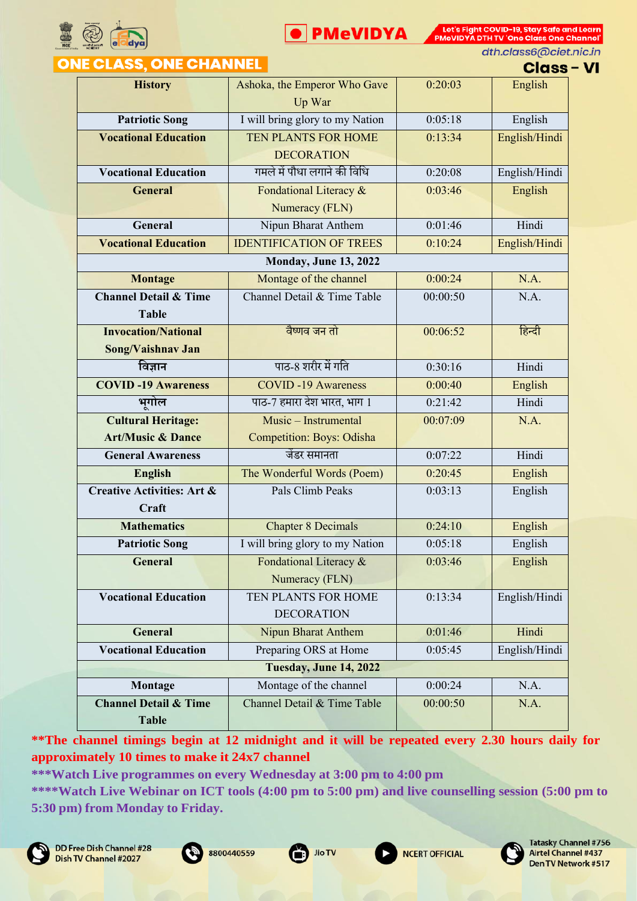



dth.class6@ciet.nic.in

| ONE CLASS, ONE CH <u>ANNEL</u> |  |
|--------------------------------|--|
|--------------------------------|--|

**Class - VI** 

| <b>History</b>                        | Ashoka, the Emperor Who Gave     | 0:20:03  | English       |
|---------------------------------------|----------------------------------|----------|---------------|
|                                       | Up War                           |          |               |
| <b>Patriotic Song</b>                 | I will bring glory to my Nation  | 0:05:18  | English       |
| <b>Vocational Education</b>           | TEN PLANTS FOR HOME              | 0:13:34  | English/Hindi |
|                                       | <b>DECORATION</b>                |          |               |
| <b>Vocational Education</b>           | गमले में पौधा लगाने की विधि      | 0:20:08  | English/Hindi |
| <b>General</b>                        | Fondational Literacy &           | 0:03:46  | English       |
|                                       | Numeracy (FLN)                   |          |               |
| General                               | Nipun Bharat Anthem              | 0:01:46  | Hindi         |
| <b>Vocational Education</b>           | <b>IDENTIFICATION OF TREES</b>   | 0:10:24  | English/Hindi |
|                                       | Monday, June 13, 2022            |          |               |
| <b>Montage</b>                        | Montage of the channel           | 0:00:24  | N.A.          |
| <b>Channel Detail &amp; Time</b>      | Channel Detail & Time Table      | 00:00:50 | N.A.          |
| <b>Table</b>                          |                                  |          |               |
| <b>Invocation/National</b>            | वैष्णव जन तो                     | 00:06:52 | हिन्दी        |
| Song/Vaishnav Jan                     |                                  |          |               |
| विज्ञान                               | पाठ-8 शरीर में गति               | 0:30:16  | Hindi         |
| <b>COVID-19 Awareness</b>             | <b>COVID-19 Awareness</b>        | 0:00:40  | English       |
| भूगोल                                 | पाठ-7 हमारा देश भारत, भाग 1      | 0:21:42  | Hindi         |
| <b>Cultural Heritage:</b>             | Music - Instrumental             | 00:07:09 | N.A.          |
| <b>Art/Music &amp; Dance</b>          | <b>Competition: Boys: Odisha</b> |          |               |
| <b>General Awareness</b>              | जेंडर समानता                     | 0:07:22  | Hindi         |
| <b>English</b>                        | The Wonderful Words (Poem)       | 0:20:45  | English       |
| <b>Creative Activities: Art &amp;</b> | Pals Climb Peaks                 | 0:03:13  | English       |
| Craft                                 |                                  |          |               |
| <b>Mathematics</b>                    | <b>Chapter 8 Decimals</b>        | 0:24:10  | English       |
| <b>Patriotic Song</b>                 | I will bring glory to my Nation  | 0:05:18  | English       |
| General                               | Fondational Literacy &           | 0:03:46  | English       |
|                                       | Numeracy (FLN)                   |          |               |
| <b>Vocational Education</b>           | TEN PLANTS FOR HOME<br>0:13:34   |          | English/Hindi |
|                                       | <b>DECORATION</b>                |          |               |
| <b>General</b>                        | <b>Nipun Bharat Anthem</b>       | 0:01:46  | Hindi         |
| <b>Vocational Education</b>           | Preparing ORS at Home            | 0:05:45  | English/Hindi |
|                                       | <b>Tuesday, June 14, 2022</b>    |          |               |
| Montage                               | Montage of the channel           | 0:00:24  | N.A.          |
| <b>Channel Detail &amp; Time</b>      | Channel Detail & Time Table      | 00:00:50 | N.A.          |
| <b>Table</b>                          |                                  |          |               |

**\*\*The channel timings begin at 12 midnight and it will be repeated every 2.30 hours daily for approximately 10 times to make it 24x7 channel**

**\*\*\*Watch Live programmes on every Wednesday at 3:00 pm to 4:00 pm**







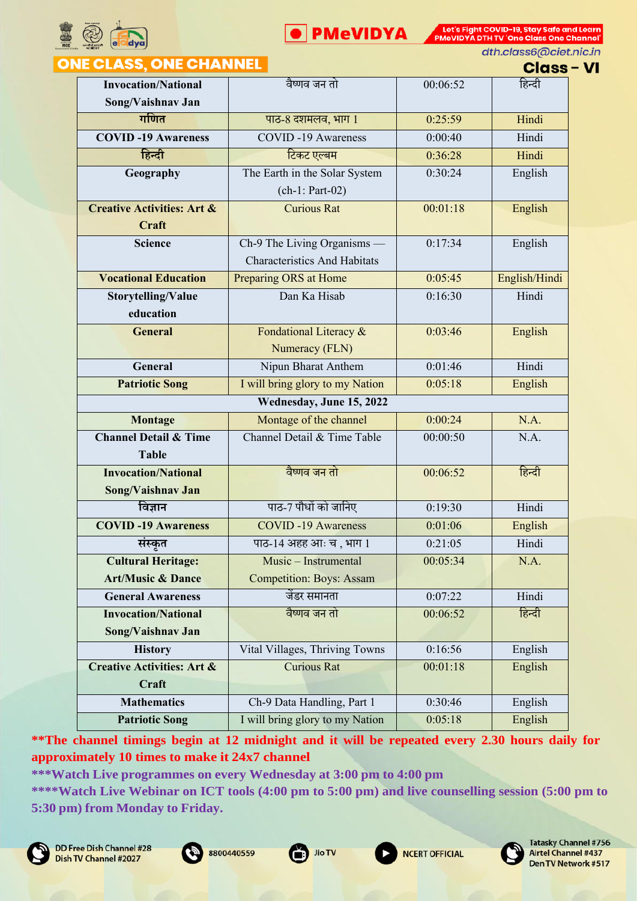



dth.class6@ciet.nic.in

#### **ONE CLASS, ONE CHANNEL**

| <b>Class - VI</b> |  |
|-------------------|--|
| हिन्दी            |  |

| <b>Invocation/National</b>            | वैष्णव जन तो                        | 00:06:52 | हिन्दी        |  |
|---------------------------------------|-------------------------------------|----------|---------------|--|
| Song/Vaishnav Jan                     |                                     |          |               |  |
| गणित                                  | पाठ-8 दशमलव, भाग 1                  | 0:25:59  | Hindi         |  |
| <b>COVID-19 Awareness</b>             | <b>COVID-19 Awareness</b>           | 0:00:40  | Hindi         |  |
| हिन्दी                                | टिकट एल्बम                          | 0:36:28  | Hindi         |  |
| Geography                             | The Earth in the Solar System       | 0:30:24  | English       |  |
|                                       | $(ch-1: Part-02)$                   |          |               |  |
| <b>Creative Activities: Art &amp;</b> | <b>Curious Rat</b>                  | 00:01:18 | English       |  |
| Craft                                 |                                     |          |               |  |
| <b>Science</b>                        | Ch-9 The Living Organisms -         | 0:17:34  | English       |  |
|                                       | <b>Characteristics And Habitats</b> |          |               |  |
| <b>Vocational Education</b>           | Preparing ORS at Home               | 0:05:45  | English/Hindi |  |
| Storytelling/Value                    | Dan Ka Hisab                        | 0:16:30  | Hindi         |  |
| education                             |                                     |          |               |  |
| <b>General</b>                        | Fondational Literacy &              | 0:03:46  | English       |  |
|                                       | Numeracy (FLN)                      |          |               |  |
| General                               | Nipun Bharat Anthem                 | 0:01:46  | Hindi         |  |
| <b>Patriotic Song</b>                 | I will bring glory to my Nation     | 0:05:18  | English       |  |
| Wednesday, June 15, 2022              |                                     |          |               |  |
| Montage                               | Montage of the channel              | 0:00:24  | N.A.          |  |
| <b>Channel Detail &amp; Time</b>      | Channel Detail & Time Table         | 00:00:50 | N.A.          |  |
| <b>Table</b>                          |                                     |          |               |  |
| <b>Invocation/National</b>            | वैष्णव जन तो                        | 00:06:52 | हिन्दी        |  |
| Song/Vaishnav Jan                     |                                     |          |               |  |
| विज्ञान                               | पाठ-7 पौधों को जानिए                | 0:19:30  | Hindi         |  |
| <b>COVID-19 Awareness</b>             | <b>COVID-19 Awareness</b>           | 0:01:06  | English       |  |
| संस्कृत                               | पाठ-14 अहह आः च, भाग 1              | 0:21:05  | Hindi         |  |
| <b>Cultural Heritage:</b>             | Music - Instrumental                | 00:05:34 | N.A.          |  |
| <b>Art/Music &amp; Dance</b>          | <b>Competition: Boys: Assam</b>     |          |               |  |
| <b>General Awareness</b>              | जेंडर समानता                        | 0:07:22  | Hindi         |  |
| <b>Invocation/National</b>            | वैष्णव जन तो                        | 00:06:52 | हिन्दी        |  |
| Song/Vaishnav Jan                     |                                     |          |               |  |
| <b>History</b>                        | Vital Villages, Thriving Towns      | 0:16:56  | English       |  |
| <b>Creative Activities: Art &amp;</b> | <b>Curious Rat</b>                  | 00:01:18 | English       |  |
| Craft                                 |                                     |          |               |  |
| <b>Mathematics</b>                    | Ch-9 Data Handling, Part 1          | 0:30:46  | English       |  |
| <b>Patriotic Song</b>                 | I will bring glory to my Nation     | 0:05:18  | English       |  |

**\*\*The channel timings begin at 12 midnight and it will be repeated every 2.30 hours daily for approximately 10 times to make it 24x7 channel**

**\*\*\*Watch Live programmes on every Wednesday at 3:00 pm to 4:00 pm**









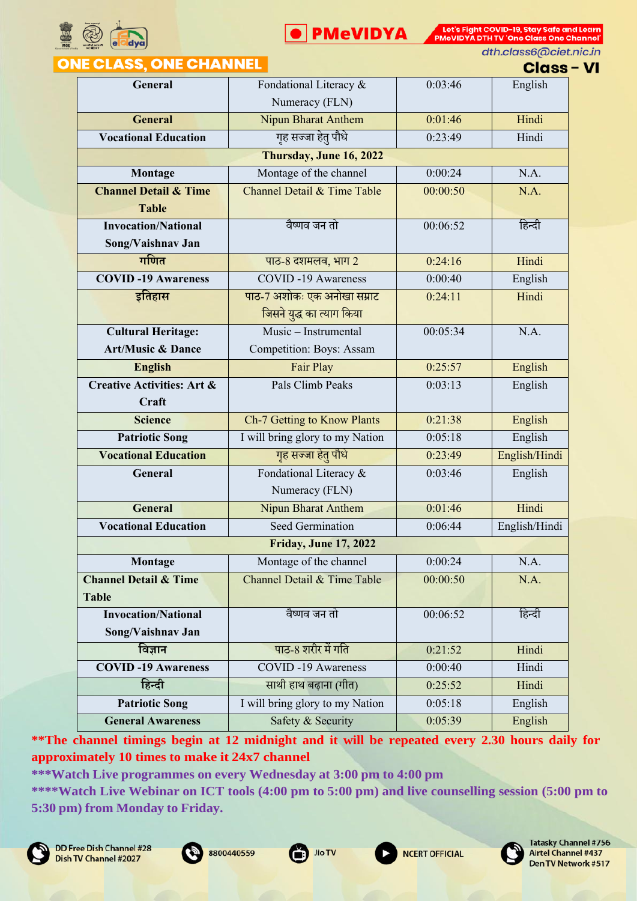



dth.class6@ciet.nic.in

## **ONE CLASS, ONE CHANNEL**

| <b>Class - VI</b> |  |  |  |  |
|-------------------|--|--|--|--|

|                                                  |                                          |          | -----         |
|--------------------------------------------------|------------------------------------------|----------|---------------|
| General                                          | Fondational Literacy &<br>Numeracy (FLN) | 0:03:46  | English       |
| <b>General</b>                                   | <b>Nipun Bharat Anthem</b>               | 0:01:46  | Hindi         |
| <b>Vocational Education</b>                      | गृह सज्जा हेतु पौधे                      | 0:23:49  | Hindi         |
|                                                  | Thursday, June 16, 2022                  |          |               |
| Montage                                          | Montage of the channel                   | 0:00:24  | N.A.          |
| <b>Channel Detail &amp; Time</b><br><b>Table</b> | Channel Detail & Time Table              | 00:00:50 | N.A.          |
| <b>Invocation/National</b>                       | वैष्णव जन तो                             | 00:06:52 | हिन्दी        |
| Song/Vaishnav Jan                                |                                          |          |               |
| गणित                                             | पाठ-8 दशमलव, भाग 2                       | 0:24:16  | Hindi         |
| <b>COVID-19 Awareness</b>                        | <b>COVID-19 Awareness</b>                | 0:00:40  | English       |
| इतिहास                                           | पाठ-7 अशोकः एक अनोखा सम्राट              | 0:24:11  | Hindi         |
|                                                  | जिसने युद्ध का त्याग किया                |          |               |
| <b>Cultural Heritage:</b>                        | Music - Instrumental                     | 00:05:34 | N.A.          |
| <b>Art/Music &amp; Dance</b>                     | Competition: Boys: Assam                 |          |               |
| <b>English</b>                                   | Fair Play                                | 0:25:57  | English       |
| <b>Creative Activities: Art &amp;</b>            | Pals Climb Peaks                         | 0:03:13  | English       |
| Craft                                            |                                          |          |               |
| <b>Science</b>                                   | Ch-7 Getting to Know Plants              | 0:21:38  | English       |
| <b>Patriotic Song</b>                            | I will bring glory to my Nation          | 0:05:18  | English       |
| <b>Vocational Education</b>                      | गृह सज्जा हेतु पौधे                      | 0:23:49  | English/Hindi |
| General                                          | Fondational Literacy &<br>Numeracy (FLN) | 0:03:46  | English       |
| <b>General</b>                                   | <b>Nipun Bharat Anthem</b>               | 0:01:46  | Hindi         |
| <b>Vocational Education</b>                      | <b>Seed Germination</b>                  | 0:06:44  | English/Hindi |
|                                                  | <b>Friday, June 17, 2022</b>             |          |               |
| Montage                                          | Montage of the channel                   | 0:00:24  | N.A.          |
| <b>Channel Detail &amp; Time</b>                 | Channel Detail & Time Table              | 00:00:50 | N.A.          |
| <b>Table</b>                                     |                                          |          |               |
| <b>Invocation/National</b>                       | वैष्णव जन तो                             | 00:06:52 | हिन्दी        |
| Song/Vaishnav Jan                                |                                          |          |               |
| विज्ञान                                          | पाठ-8 शरीर में गति                       | 0:21:52  | Hindi         |
| <b>COVID-19 Awareness</b>                        | <b>COVID-19 Awareness</b>                | 0:00:40  | Hindi         |
| हिन्दी                                           | साथी हाथ बढ़ाना (गीत)                    | 0:25:52  | Hindi         |
| <b>Patriotic Song</b>                            | I will bring glory to my Nation          | 0:05:18  | English       |
| <b>General Awareness</b>                         | Safety & Security                        | 0:05:39  | English       |

**\*\*The channel timings begin at 12 midnight and it will be repeated every 2.30 hours daily for approximately 10 times to make it 24x7 channel**

**\*\*\*Watch Live programmes on every Wednesday at 3:00 pm to 4:00 pm**







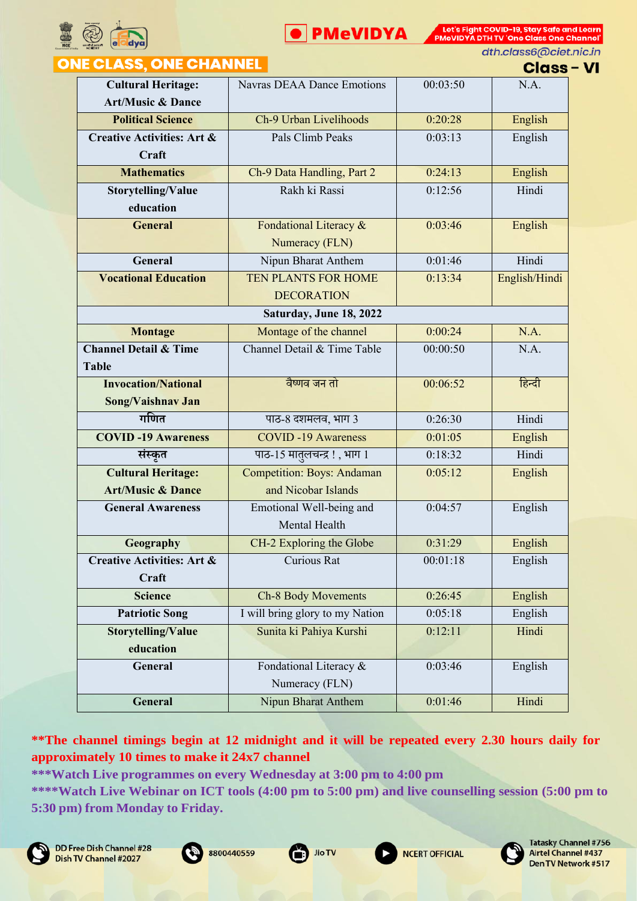



dth.class6@ciet.nic.in

#### **ONE CLASS, ONE CHANNEL**

**Class - VI** 

|                                                           |                                   |          | <u>umaa</u>   |
|-----------------------------------------------------------|-----------------------------------|----------|---------------|
| <b>Cultural Heritage:</b><br><b>Art/Music &amp; Dance</b> | <b>Navras DEAA Dance Emotions</b> | 00:03:50 | N.A.          |
| <b>Political Science</b>                                  | Ch-9 Urban Livelihoods            | 0:20:28  | English       |
| <b>Creative Activities: Art &amp;</b><br>Craft            | Pals Climb Peaks                  | 0:03:13  | English       |
| <b>Mathematics</b>                                        | Ch-9 Data Handling, Part 2        | 0:24:13  | English       |
| Storytelling/Value<br>education                           | Rakh ki Rassi                     | 0:12:56  | Hindi         |
| <b>General</b>                                            | Fondational Literacy &            | 0:03:46  | English       |
|                                                           | Numeracy (FLN)                    |          |               |
| General                                                   | Nipun Bharat Anthem               | 0:01:46  | Hindi         |
| <b>Vocational Education</b>                               | TEN PLANTS FOR HOME               | 0:13:34  | English/Hindi |
|                                                           | <b>DECORATION</b>                 |          |               |
|                                                           | Saturday, June 18, 2022           |          |               |
| <b>Montage</b>                                            | Montage of the channel            | 0:00:24  | N.A.          |
| <b>Channel Detail &amp; Time</b>                          | Channel Detail & Time Table       | 00:00:50 | N.A.          |
| <b>Table</b>                                              |                                   |          |               |
| <b>Invocation/National</b>                                | वैष्णव जन तो                      | 00:06:52 | हिन्दी        |
| Song/Vaishnav Jan                                         |                                   |          |               |
| गणित                                                      | पाठ-8 दशमलव, भाग 3                | 0:26:30  | Hindi         |
| <b>COVID-19 Awareness</b>                                 | <b>COVID-19 Awareness</b>         | 0:01:05  | English       |
| संस्कृत                                                   | पाठ-15 मातुलचन्द्र!, भाग 1        | 0:18:32  | Hindi         |
| <b>Cultural Heritage:</b>                                 | <b>Competition: Boys: Andaman</b> | 0:05:12  | English       |
| <b>Art/Music &amp; Dance</b>                              | and Nicobar Islands               |          |               |
| <b>General Awareness</b>                                  | Emotional Well-being and          | 0:04:57  | English       |
|                                                           | Mental Health                     |          |               |
| Geography                                                 | CH-2 Exploring the Globe          | 0:31:29  | English       |
| <b>Creative Activities: Art &amp;</b>                     | Curious Rat                       | 00:01:18 | English       |
| Craft                                                     |                                   |          |               |
| <b>Science</b>                                            | <b>Ch-8 Body Movements</b>        | 0:26:45  | English       |
| <b>Patriotic Song</b>                                     | I will bring glory to my Nation   | 0:05:18  | English       |
| Storytelling/Value                                        | Sunita ki Pahiya Kurshi           | 0:12:11  | Hindi         |
| education                                                 |                                   |          |               |
| General                                                   | Fondational Literacy &            | 0:03:46  | English       |
|                                                           | Numeracy (FLN)                    |          |               |
| General                                                   | Nipun Bharat Anthem               | 0:01:46  | Hindi         |

**\*\*The channel timings begin at 12 midnight and it will be repeated every 2.30 hours daily for approximately 10 times to make it 24x7 channel**









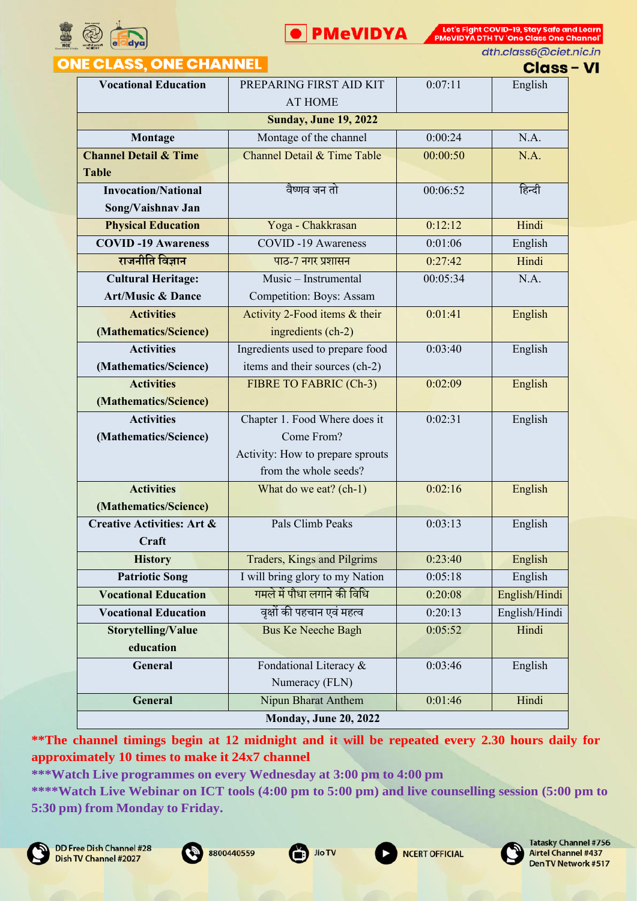



dth.class6@ciet.nic.in

## **ONE CLASS, ONE CHANNEL**

**Class - VI** 

|                                       |                                  |          | сымээ         |  |  |  |  |
|---------------------------------------|----------------------------------|----------|---------------|--|--|--|--|
| <b>Vocational Education</b>           | PREPARING FIRST AID KIT          | 0:07:11  | English       |  |  |  |  |
|                                       | <b>AT HOME</b>                   |          |               |  |  |  |  |
|                                       | <b>Sunday, June 19, 2022</b>     |          |               |  |  |  |  |
| Montage                               | Montage of the channel           | 0:00:24  | N.A.          |  |  |  |  |
| <b>Channel Detail &amp; Time</b>      | Channel Detail & Time Table      | 00:00:50 | N.A.          |  |  |  |  |
| <b>Table</b>                          |                                  |          |               |  |  |  |  |
| <b>Invocation/National</b>            | वैष्णव जन तो                     | 00:06:52 | हिन्दी        |  |  |  |  |
| Song/Vaishnav Jan                     |                                  |          |               |  |  |  |  |
| <b>Physical Education</b>             | Yoga - Chakkrasan                | 0:12:12  | Hindi         |  |  |  |  |
| <b>COVID-19 Awareness</b>             | <b>COVID-19 Awareness</b>        | 0:01:06  | English       |  |  |  |  |
| राजनीति विज्ञान                       | पाठ-7 नगर प्रशासन                | 0:27:42  | Hindi         |  |  |  |  |
| <b>Cultural Heritage:</b>             | Music - Instrumental             | 00:05:34 | N.A.          |  |  |  |  |
| <b>Art/Music &amp; Dance</b>          | Competition: Boys: Assam         |          |               |  |  |  |  |
| <b>Activities</b>                     | Activity 2-Food items & their    | 0:01:41  | English       |  |  |  |  |
| (Mathematics/Science)                 | ingredients (ch-2)               |          |               |  |  |  |  |
| <b>Activities</b>                     | Ingredients used to prepare food | 0:03:40  | English       |  |  |  |  |
| (Mathematics/Science)                 | items and their sources (ch-2)   |          |               |  |  |  |  |
| <b>Activities</b>                     | FIBRE TO FABRIC (Ch-3)           | 0:02:09  | English       |  |  |  |  |
| (Mathematics/Science)                 |                                  |          |               |  |  |  |  |
| <b>Activities</b>                     | Chapter 1. Food Where does it    | 0:02:31  | English       |  |  |  |  |
| (Mathematics/Science)                 | Come From?                       |          |               |  |  |  |  |
|                                       | Activity: How to prepare sprouts |          |               |  |  |  |  |
|                                       | from the whole seeds?            |          |               |  |  |  |  |
| <b>Activities</b>                     | What do we eat? (ch-1)           | 0:02:16  | English       |  |  |  |  |
| (Mathematics/Science)                 |                                  |          |               |  |  |  |  |
| <b>Creative Activities: Art &amp;</b> | Pals Climb Peaks                 | 0:03:13  | English       |  |  |  |  |
| Craft                                 |                                  |          |               |  |  |  |  |
| <b>History</b>                        | Traders, Kings and Pilgrims      | 0:23:40  | English       |  |  |  |  |
| <b>Patriotic Song</b>                 | I will bring glory to my Nation  | 0:05:18  | English       |  |  |  |  |
| <b>Vocational Education</b>           | गमले में पौधा लगाने की विधि      | 0:20:08  | English/Hindi |  |  |  |  |
| <b>Vocational Education</b>           | वृक्षों की पहचान एवं महत्व       | 0:20:13  | English/Hindi |  |  |  |  |
| <b>Storytelling/Value</b>             | <b>Bus Ke Neeche Bagh</b>        | 0:05:52  | Hindi         |  |  |  |  |
| education                             |                                  |          |               |  |  |  |  |
| General                               | Fondational Literacy &           | 0:03:46  | English       |  |  |  |  |
|                                       | Numeracy (FLN)                   |          |               |  |  |  |  |
| General                               | Nipun Bharat Anthem              | 0:01:46  | Hindi         |  |  |  |  |
| <b>Monday, June 20, 2022</b>          |                                  |          |               |  |  |  |  |

**\*\*The channel timings begin at 12 midnight and it will be repeated every 2.30 hours daily for approximately 10 times to make it 24x7 channel**

**\*\*\*Watch Live programmes on every Wednesday at 3:00 pm to 4:00 pm**







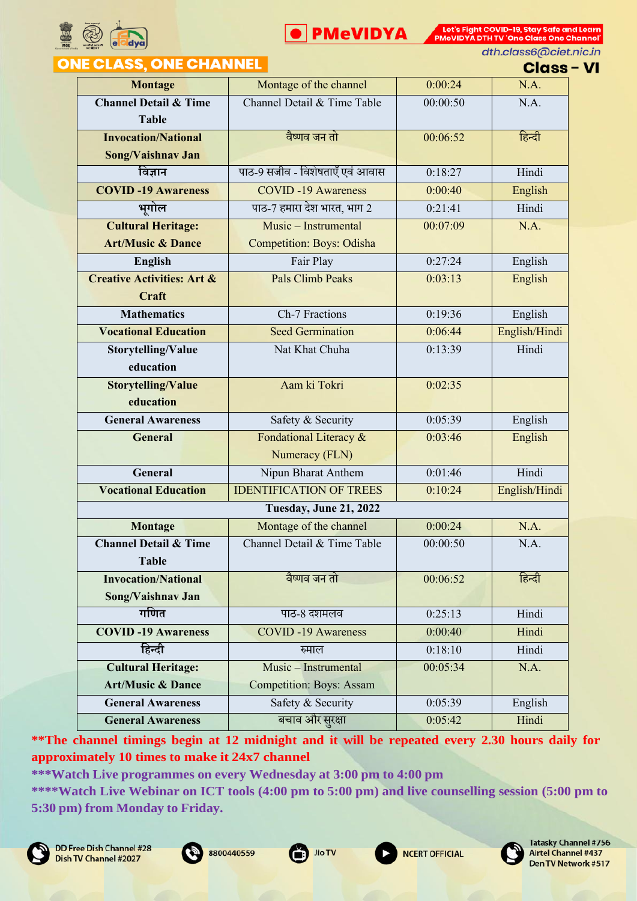



dth.class6@ciet.nic.in

# **ONE CLASS, ONE CHANNEL**

**Class - VI** 

|                                       |                                        |          | ๛๛            |
|---------------------------------------|----------------------------------------|----------|---------------|
| <b>Montage</b>                        | Montage of the channel                 | 0:00:24  | N.A.          |
| <b>Channel Detail &amp; Time</b>      | Channel Detail & Time Table            | 00:00:50 | N.A.          |
| <b>Table</b>                          |                                        |          |               |
| <b>Invocation/National</b>            | वैष्णव जन तो                           | 00:06:52 | हिन्दी        |
| Song/Vaishnav Jan                     |                                        |          |               |
| विज्ञान                               | पाठ-9 सजीव - विशेषताएँ एवं आवास        | 0:18:27  | Hindi         |
| <b>COVID-19 Awareness</b>             | <b>COVID-19 Awareness</b>              | 0:00:40  | English       |
| भूगोल                                 | पाठ-7 हमारा देश भारत, भाग 2<br>0:21:41 |          | Hindi         |
| <b>Cultural Heritage:</b>             | Music - Instrumental                   | 00:07:09 | N.A.          |
| <b>Art/Music &amp; Dance</b>          | <b>Competition: Boys: Odisha</b>       |          |               |
| <b>English</b>                        | 0:27:24<br>Fair Play                   |          | English       |
| <b>Creative Activities: Art &amp;</b> | <b>Pals Climb Peaks</b>                | 0:03:13  | English       |
| Craft                                 |                                        |          |               |
| <b>Mathematics</b>                    | Ch-7 Fractions                         | 0:19:36  | English       |
| <b>Vocational Education</b>           | <b>Seed Germination</b>                | 0:06:44  | English/Hindi |
| Storytelling/Value                    | Nat Khat Chuha<br>0:13:39              |          | Hindi         |
| education                             |                                        |          |               |
| <b>Storytelling/Value</b>             | Aam ki Tokri                           | 0:02:35  |               |
| education                             |                                        |          |               |
| <b>General Awareness</b>              | Safety & Security                      | 0:05:39  | English       |
| <b>General</b>                        | Fondational Literacy &<br>0:03:46      |          | English       |
|                                       | Numeracy (FLN)                         |          |               |
| General                               | Nipun Bharat Anthem                    | 0:01:46  | Hindi         |
| <b>Vocational Education</b>           | <b>IDENTIFICATION OF TREES</b>         | 0:10:24  | English/Hindi |
|                                       | <b>Tuesday, June 21, 2022</b>          |          |               |
| <b>Montage</b>                        | Montage of the channel                 | 0:00:24  | N.A.          |
| <b>Channel Detail &amp; Time</b>      | Channel Detail & Time Table            | 00:00:50 | N.A.          |
| <b>Table</b>                          |                                        |          |               |
| <b>Invocation/National</b>            | वैष्णव जन तो                           | 00:06:52 | हिन्दी        |
| Song/Vaishnav Jan                     |                                        |          |               |
| गणित                                  | पाठ-8 दशमलव                            | 0:25:13  | Hindi         |
| <b>COVID-19 Awareness</b>             | <b>COVID-19 Awareness</b>              | 0:00:40  | Hindi         |
| हिन्दी                                | रुमाल                                  | 0:18:10  | Hindi         |
| <b>Cultural Heritage:</b>             | Music - Instrumental                   | 00:05:34 | N.A.          |
| <b>Art/Music &amp; Dance</b>          | <b>Competition: Boys: Assam</b>        |          |               |
| <b>General Awareness</b>              | Safety & Security                      | 0:05:39  | English       |
| <b>General Awareness</b>              | बचाव और सुरक्षा                        | 0:05:42  | Hindi         |

**\*\*The channel timings begin at 12 midnight and it will be repeated every 2.30 hours daily for approximately 10 times to make it 24x7 channel**

**\*\*\*Watch Live programmes on every Wednesday at 3:00 pm to 4:00 pm**

**\*\*\*\*Watch Live Webinar on ICT tools (4:00 pm to 5:00 pm) and live counselling session (5:00 pm to 5:30 pm) from Monday to Friday.**







**NCERT OFFICIAL** 

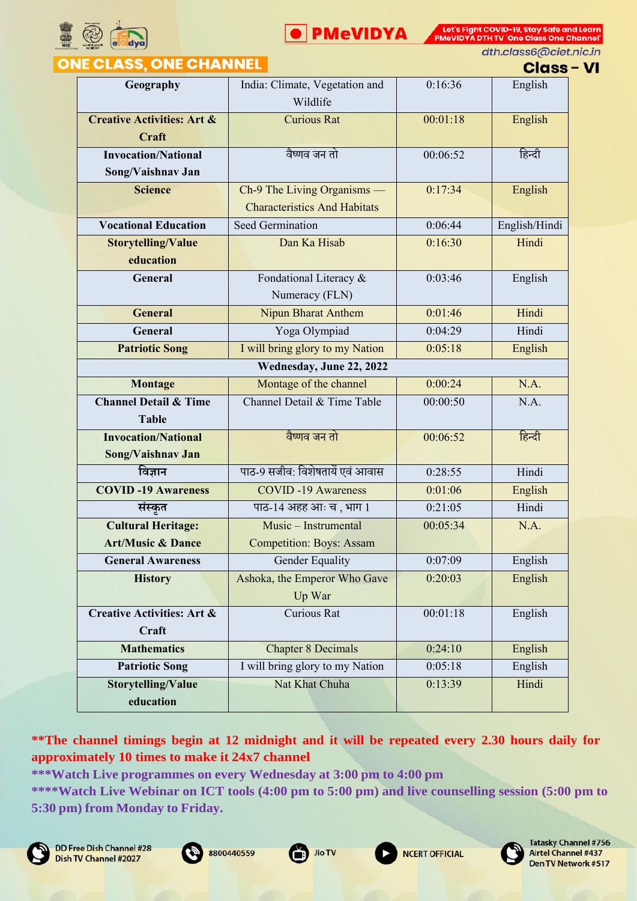



un ty one class one channer<br>dth.class6@ciet.nic.in

|                                                           | atn.classo@clet.nic.ir<br><b>NE CLASS, ONE CHANNEL</b><br><b>Class - VI</b> |          |               |  |  |
|-----------------------------------------------------------|-----------------------------------------------------------------------------|----------|---------------|--|--|
| Geography                                                 | India: Climate, Vegetation and<br>Wildlife                                  | 0:16:36  | English       |  |  |
| <b>Creative Activities: Art &amp;</b><br>Craft            | <b>Curious Rat</b>                                                          | 00:01:18 | English       |  |  |
| <b>Invocation/National</b><br>Song/Vaishnav Jan           | वैष्णव जन तो                                                                | 00:06:52 | हिन्दी        |  |  |
| <b>Science</b>                                            | Ch-9 The Living Organisms —<br><b>Characteristics And Habitats</b>          | 0:17:34  | English       |  |  |
| <b>Vocational Education</b>                               | Seed Germination                                                            | 0:06:44  | English/Hindi |  |  |
| <b>Storytelling/Value</b><br>education                    | Dan Ka Hisab                                                                | 0:16:30  | Hindi         |  |  |
| General                                                   | Fondational Literacy &<br>Numeracy (FLN)                                    | 0:03:46  | English       |  |  |
| <b>General</b>                                            | Nipun Bharat Anthem                                                         | 0:01:46  | Hindi         |  |  |
| <b>General</b>                                            | Yoga Olympiad                                                               | 0:04:29  | Hindi         |  |  |
| <b>Patriotic Song</b>                                     | I will bring glory to my Nation                                             | 0:05:18  | English       |  |  |
| Wednesday, June 22, 2022                                  |                                                                             |          |               |  |  |
| Montage                                                   | Montage of the channel                                                      | 0:00:24  | N.A.          |  |  |
| <b>Channel Detail &amp; Time</b><br><b>Table</b>          | Channel Detail & Time Table                                                 | 00:00:50 | N.A.          |  |  |
| <b>Invocation/National</b><br>Song/Vaishnav Jan           | वैष्णव जन तो                                                                | 00:06:52 | हिन्दी        |  |  |
| विज्ञान                                                   | पाठ-9 सजीव: विशेषतायें एवं आवास                                             | 0:28:55  | Hindi         |  |  |
| <b>COVID-19 Awareness</b>                                 | <b>COVID-19 Awareness</b>                                                   | 0:01:06  | English       |  |  |
| संस्कृत                                                   | पाठ-14 अहह आः च, भाग 1                                                      | 0:21:05  | Hindi         |  |  |
| <b>Cultural Heritage:</b><br><b>Art/Music &amp; Dance</b> | Music - Instrumental<br><b>Competition: Boys: Assam</b>                     | 00:05:34 | N.A.          |  |  |
| <b>General Awareness</b>                                  | Gender Equality                                                             | 0:07:09  | English       |  |  |
| <b>History</b>                                            | Ashoka, the Emperor Who Gave<br>Up War                                      | 0:20:03  | English       |  |  |
| <b>Creative Activities: Art &amp;</b><br>Craft            | Curious Rat                                                                 | 00:01:18 | English       |  |  |
| <b>Mathematics</b>                                        | <b>Chapter 8 Decimals</b>                                                   | 0:24:10  | English       |  |  |
| <b>Patriotic Song</b>                                     | I will bring glory to my Nation                                             | 0:05:18  | English       |  |  |
| Storytelling/Value<br>education                           | Nat Khat Chuha                                                              | 0:13:39  | Hindi         |  |  |

**\*\*The channel timings begin at 12 midnight and it will be repeated every 2.30 hours daily for approximately 10 times to make it 24x7 channel**









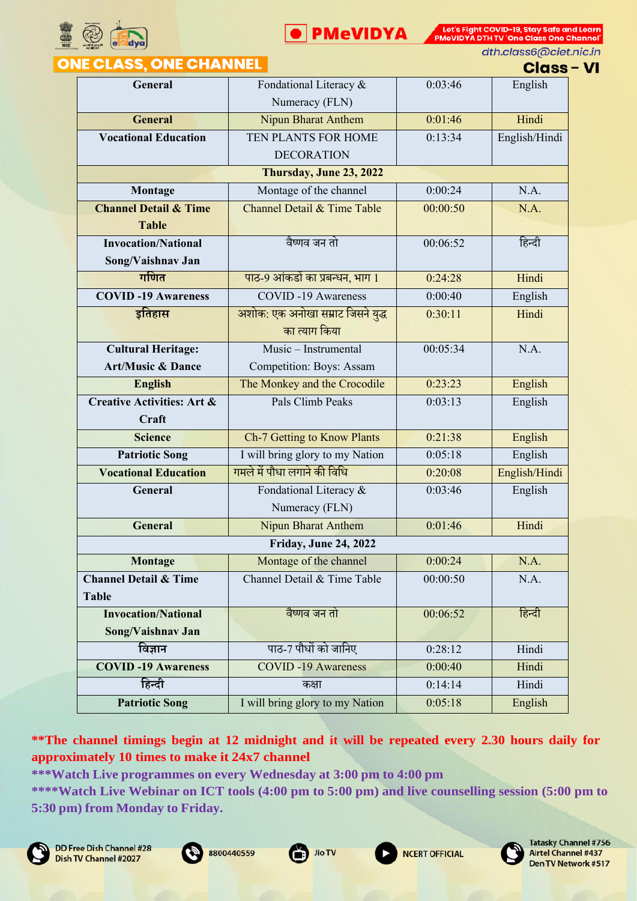



dth.class6@ciet.nic.in

### **ONE CLASS, ONE CHANNEL**

| Class - VI |  |  |
|------------|--|--|

| General<br>Fondational Literacy &<br>0:03:46<br>English<br>Numeracy (FLN)<br><b>General</b><br><b>Nipun Bharat Anthem</b><br>0:01:46<br>Hindi<br><b>Vocational Education</b><br>TEN PLANTS FOR HOME<br>English/Hindi<br>0:13:34<br><b>DECORATION</b><br>Thursday, June 23, 2022<br>Montage of the channel<br>0:00:24<br>N.A.<br>Montage<br><b>Channel Detail &amp; Time</b><br>N.A.<br>Channel Detail & Time Table<br>00:00:50 |  |
|--------------------------------------------------------------------------------------------------------------------------------------------------------------------------------------------------------------------------------------------------------------------------------------------------------------------------------------------------------------------------------------------------------------------------------|--|
|                                                                                                                                                                                                                                                                                                                                                                                                                                |  |
|                                                                                                                                                                                                                                                                                                                                                                                                                                |  |
|                                                                                                                                                                                                                                                                                                                                                                                                                                |  |
|                                                                                                                                                                                                                                                                                                                                                                                                                                |  |
|                                                                                                                                                                                                                                                                                                                                                                                                                                |  |
|                                                                                                                                                                                                                                                                                                                                                                                                                                |  |
|                                                                                                                                                                                                                                                                                                                                                                                                                                |  |
|                                                                                                                                                                                                                                                                                                                                                                                                                                |  |
| <b>Table</b>                                                                                                                                                                                                                                                                                                                                                                                                                   |  |
| वैष्णव जन तो<br>हिन्दी<br><b>Invocation/National</b><br>00:06:52                                                                                                                                                                                                                                                                                                                                                               |  |
|                                                                                                                                                                                                                                                                                                                                                                                                                                |  |
| Song/Vaishnav Jan                                                                                                                                                                                                                                                                                                                                                                                                              |  |
| गणित<br>पाठ-9 आंकडों का प्रबन्धन, भाग 1<br>Hindi<br>0:24:28                                                                                                                                                                                                                                                                                                                                                                    |  |
| <b>COVID-19 Awareness</b><br><b>COVID-19 Awareness</b><br>0:00:40<br>English                                                                                                                                                                                                                                                                                                                                                   |  |
| अशोक: एक अनोखा सम्राट जिसने युद्ध<br>इतिहास<br>0:30:11<br>Hindi                                                                                                                                                                                                                                                                                                                                                                |  |
| का त्याग किया                                                                                                                                                                                                                                                                                                                                                                                                                  |  |
| N.A.<br>Music - Instrumental<br>00:05:34<br><b>Cultural Heritage:</b>                                                                                                                                                                                                                                                                                                                                                          |  |
| <b>Art/Music &amp; Dance</b><br>Competition: Boys: Assam                                                                                                                                                                                                                                                                                                                                                                       |  |
| The Monkey and the Crocodile<br>0:23:23<br>English<br><b>English</b>                                                                                                                                                                                                                                                                                                                                                           |  |
| <b>Creative Activities: Art &amp;</b><br>Pals Climb Peaks<br>0:03:13<br>English                                                                                                                                                                                                                                                                                                                                                |  |
| Craft                                                                                                                                                                                                                                                                                                                                                                                                                          |  |
| Ch-7 Getting to Know Plants<br>0:21:38<br>English<br><b>Science</b>                                                                                                                                                                                                                                                                                                                                                            |  |
| I will bring glory to my Nation<br><b>Patriotic Song</b><br>0:05:18<br>English                                                                                                                                                                                                                                                                                                                                                 |  |
| गमले में पौधा लगाने की विधि<br><b>Vocational Education</b><br>English/Hindi<br>0:20:08                                                                                                                                                                                                                                                                                                                                         |  |
|                                                                                                                                                                                                                                                                                                                                                                                                                                |  |
| English<br>General<br>Fondational Literacy &<br>0:03:46                                                                                                                                                                                                                                                                                                                                                                        |  |
| Numeracy (FLN)                                                                                                                                                                                                                                                                                                                                                                                                                 |  |
| Hindi<br>General<br>Nipun Bharat Anthem<br>0:01:46                                                                                                                                                                                                                                                                                                                                                                             |  |
| <b>Friday, June 24, 2022</b>                                                                                                                                                                                                                                                                                                                                                                                                   |  |
| Montage<br>0:00:24<br>Montage of the channel<br>N.A.                                                                                                                                                                                                                                                                                                                                                                           |  |
| <b>Channel Detail &amp; Time</b><br>Channel Detail & Time Table<br>00:00:50<br>N.A.                                                                                                                                                                                                                                                                                                                                            |  |
| <b>Table</b>                                                                                                                                                                                                                                                                                                                                                                                                                   |  |
| वैष्णव जन तो<br>हिन्दी<br><b>Invocation/National</b><br>00:06:52                                                                                                                                                                                                                                                                                                                                                               |  |
| Song/Vaishnav Jan                                                                                                                                                                                                                                                                                                                                                                                                              |  |
| पाठ-7 पौधों को जानिए<br>विज्ञान<br>0:28:12<br>Hindi                                                                                                                                                                                                                                                                                                                                                                            |  |
| <b>COVID-19 Awareness</b><br><b>COVID-19 Awareness</b><br>Hindi<br>0:00:40                                                                                                                                                                                                                                                                                                                                                     |  |
| हिन्दी<br>Hindi<br>0:14:14<br>कक्षा                                                                                                                                                                                                                                                                                                                                                                                            |  |

**\*\*The channel timings begin at 12 midnight and it will be repeated every 2.30 hours daily for approximately 10 times to make it 24x7 channel**









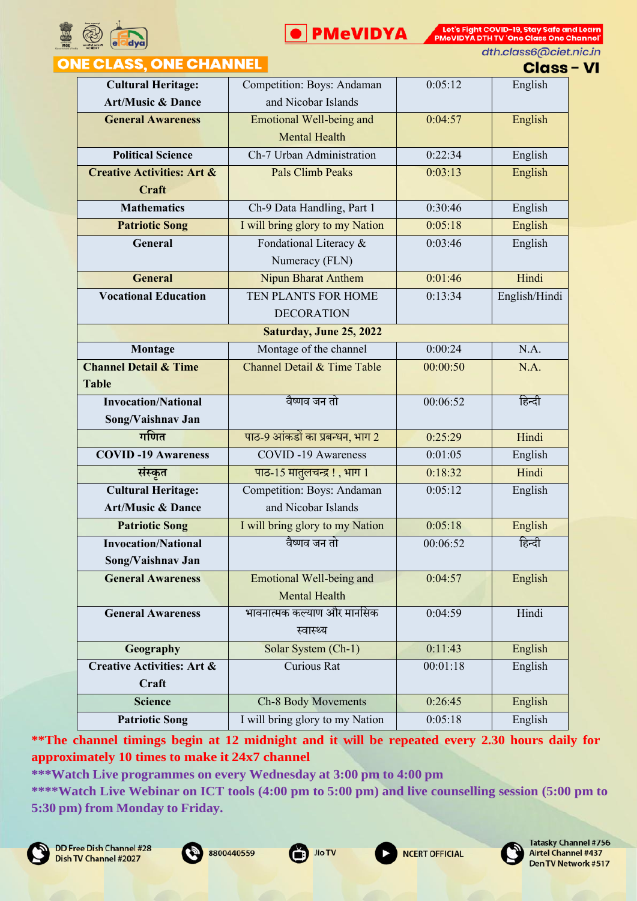



dth.class6@ciet.nic.in

#### **ONE CLASS, ONE CHANNEL**

**Class - VI** 

| <b>Cultural Heritage:</b>             | Competition: Boys: Andaman      | 0:05:12  | English       |
|---------------------------------------|---------------------------------|----------|---------------|
| <b>Art/Music &amp; Dance</b>          | and Nicobar Islands             |          |               |
| <b>General Awareness</b>              | <b>Emotional Well-being and</b> | 0:04:57  | English       |
|                                       | <b>Mental Health</b>            |          |               |
| <b>Political Science</b>              | Ch-7 Urban Administration       | 0:22:34  | English       |
| <b>Creative Activities: Art &amp;</b> | <b>Pals Climb Peaks</b>         | 0:03:13  | English       |
| Craft                                 |                                 |          |               |
| <b>Mathematics</b>                    | Ch-9 Data Handling, Part 1      | 0:30:46  | English       |
| <b>Patriotic Song</b>                 | I will bring glory to my Nation | 0:05:18  | English       |
| General                               | Fondational Literacy &          | 0:03:46  | English       |
|                                       | Numeracy (FLN)                  |          |               |
| <b>General</b>                        | <b>Nipun Bharat Anthem</b>      | 0:01:46  | Hindi         |
| <b>Vocational Education</b>           | TEN PLANTS FOR HOME             | 0:13:34  | English/Hindi |
|                                       | <b>DECORATION</b>               |          |               |
|                                       | Saturday, June 25, 2022         |          |               |
| Montage                               | Montage of the channel          | 0:00:24  | N.A.          |
| <b>Channel Detail &amp; Time</b>      | Channel Detail & Time Table     | 00:00:50 | N.A.          |
| <b>Table</b>                          |                                 |          |               |
| <b>Invocation/National</b>            | वैष्णव जन तो                    | 00:06:52 | हिन्दी        |
| Song/Vaishnav Jan                     |                                 |          |               |
| गणित                                  | पाठ-9 आंकडों का प्रबन्धन, भाग 2 | 0:25:29  | Hindi         |
| <b>COVID-19 Awareness</b>             | <b>COVID-19 Awareness</b>       | 0:01:05  | English       |
| संस्कृत                               | पाठ-15 मातुलचन्द्र!, भाग 1      | 0:18:32  | Hindi         |
| <b>Cultural Heritage:</b>             | Competition: Boys: Andaman      | 0:05:12  | English       |
| <b>Art/Music &amp; Dance</b>          | and Nicobar Islands             |          |               |
| <b>Patriotic Song</b>                 | I will bring glory to my Nation | 0:05:18  | English       |
| <b>Invocation/National</b>            | वैष्णव जन तो                    | 00:06:52 | हिन्दी        |
| Song/Vaishnav Jan                     |                                 |          |               |
| <b>General Awareness</b>              | Emotional Well-being and        | 0:04:57  | English       |
|                                       | <b>Mental Health</b>            |          |               |
| <b>General Awareness</b>              | भावनात्मक कल्याण और मानसिक      | 0:04:59  | Hindi         |
|                                       | स्वास्थ्य                       |          |               |
| Geography                             | Solar System (Ch-1)             | 0:11:43  | English       |
| <b>Creative Activities: Art &amp;</b> | Curious Rat                     | 00:01:18 | English       |
| Craft                                 |                                 |          |               |
| <b>Science</b>                        | Ch-8 Body Movements             | 0:26:45  | English       |
| <b>Patriotic Song</b>                 | I will bring glory to my Nation | 0:05:18  | English       |

**\*\*The channel timings begin at 12 midnight and it will be repeated every 2.30 hours daily for approximately 10 times to make it 24x7 channel**

**\*\*\*Watch Live programmes on every Wednesday at 3:00 pm to 4:00 pm**











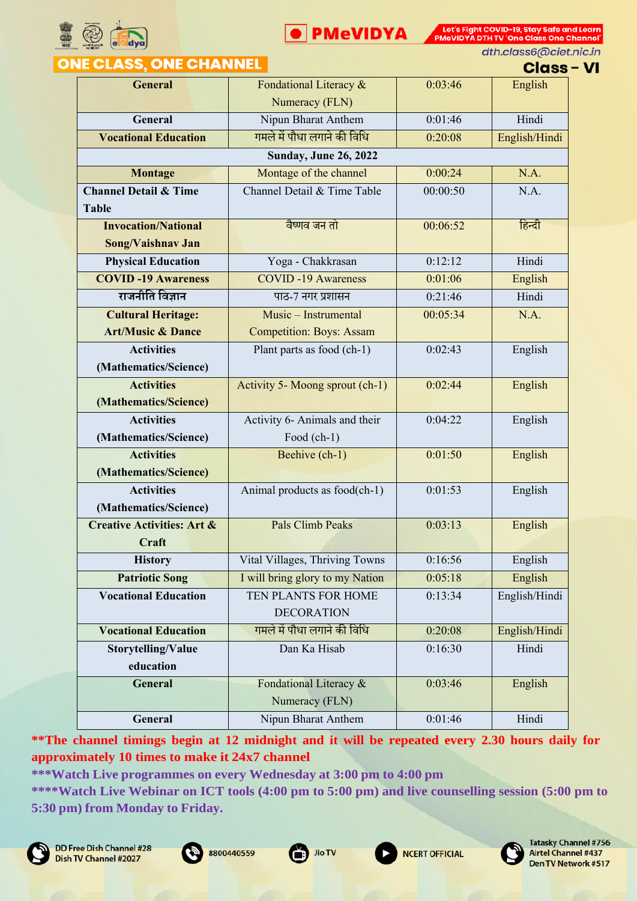



dth.class6@ciet.nic.in

## **ONE CLASS, ONE CHANNEL**

|  |  | :lass – VI |  |  |
|--|--|------------|--|--|

| <b>General</b>                        | Fondational Literacy &          | 0:03:46  | English       |
|---------------------------------------|---------------------------------|----------|---------------|
|                                       | Numeracy (FLN)                  |          |               |
| General                               | Nipun Bharat Anthem             | 0:01:46  | Hindi         |
| <b>Vocational Education</b>           | गमले में पौधा लगाने की विधि     | 0:20:08  | English/Hindi |
|                                       | <b>Sunday, June 26, 2022</b>    |          |               |
| <b>Montage</b>                        | Montage of the channel          | 0:00:24  | N.A.          |
| <b>Channel Detail &amp; Time</b>      | Channel Detail & Time Table     | 00:00:50 | N.A.          |
| <b>Table</b>                          |                                 |          |               |
| <b>Invocation/National</b>            | वैष्णव जन तो                    | 00:06:52 | हिन्दी        |
| Song/Vaishnav Jan                     |                                 |          |               |
| <b>Physical Education</b>             | Yoga - Chakkrasan               | 0:12:12  | Hindi         |
| <b>COVID-19 Awareness</b>             | <b>COVID-19 Awareness</b>       | 0:01:06  | English       |
| राजनीति विज्ञान                       | पाठ-7 नगर प्रशासन               | 0:21:46  | Hindi         |
| <b>Cultural Heritage:</b>             | Music - Instrumental            | 00:05:34 | N.A.          |
| <b>Art/Music &amp; Dance</b>          | <b>Competition: Boys: Assam</b> |          |               |
| <b>Activities</b>                     | Plant parts as food (ch-1)      | 0:02:43  | English       |
| (Mathematics/Science)                 |                                 |          |               |
| <b>Activities</b>                     | Activity 5- Moong sprout (ch-1) | 0:02:44  | English       |
| (Mathematics/Science)                 |                                 |          |               |
| <b>Activities</b>                     | Activity 6- Animals and their   | 0:04:22  | English       |
| (Mathematics/Science)                 | Food $(ch-1)$                   |          |               |
| <b>Activities</b>                     | Beehive (ch-1)                  | 0:01:50  | English       |
| (Mathematics/Science)                 |                                 |          |               |
| <b>Activities</b>                     | Animal products as food(ch-1)   | 0:01:53  | English       |
| (Mathematics/Science)                 |                                 |          |               |
| <b>Creative Activities: Art &amp;</b> | <b>Pals Climb Peaks</b>         | 0:03:13  | English       |
| Craft                                 |                                 |          |               |
| <b>History</b>                        | Vital Villages, Thriving Towns  | 0:16:56  | English       |
| <b>Patriotic Song</b>                 | I will bring glory to my Nation | 0:05:18  | English       |
| <b>Vocational Education</b>           | TEN PLANTS FOR HOME             | 0:13:34  | English/Hindi |
|                                       | <b>DECORATION</b>               |          |               |
| <b>Vocational Education</b>           | गमले में पौधा लगाने की विधि     | 0:20:08  | English/Hindi |
| Storytelling/Value                    | Dan Ka Hisab                    | 0:16:30  | Hindi         |
| education                             |                                 |          |               |
| General                               | Fondational Literacy &          | 0:03:46  | English       |
|                                       | Numeracy (FLN)                  |          |               |
| General                               | Nipun Bharat Anthem             | 0:01:46  | Hindi         |

**\*\*The channel timings begin at 12 midnight and it will be repeated every 2.30 hours daily for approximately 10 times to make it 24x7 channel**

**\*\*\*Watch Live programmes on every Wednesday at 3:00 pm to 4:00 pm**







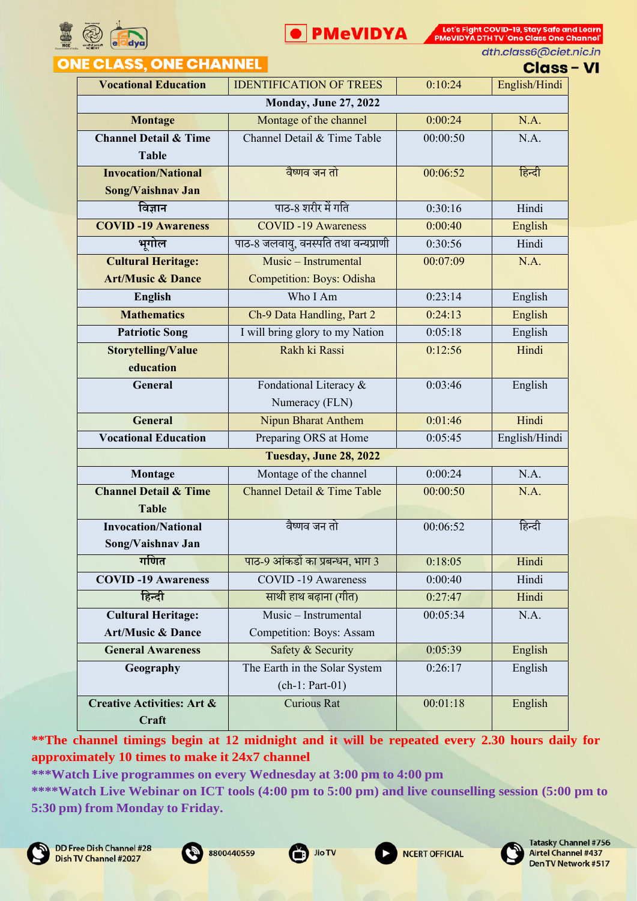



dth.class6@ciet.nic.in

# **ONE CLASS, ONE CHANNEL**

**Class - VI** 

|                                       |                                      |          | ымээ          |  |
|---------------------------------------|--------------------------------------|----------|---------------|--|
| <b>Vocational Education</b>           | <b>IDENTIFICATION OF TREES</b>       | 0:10:24  | English/Hindi |  |
| <b>Monday, June 27, 2022</b>          |                                      |          |               |  |
| <b>Montage</b>                        | Montage of the channel               | 0:00:24  | N.A.          |  |
| <b>Channel Detail &amp; Time</b>      | Channel Detail & Time Table          | 00:00:50 | N.A.          |  |
| <b>Table</b>                          |                                      |          |               |  |
| <b>Invocation/National</b>            | वैष्णव जन तो                         | 00:06:52 | हिन्दी        |  |
| Song/Vaishnav Jan                     |                                      |          |               |  |
| विज्ञान                               | पाठ-8 शरीर में गति                   | 0:30:16  | Hindi         |  |
| <b>COVID-19 Awareness</b>             | <b>COVID-19 Awareness</b>            | 0:00:40  | English       |  |
| भगोल                                  | पाठ-8 जलवायु, वनस्पति तथा वन्यप्राणी | 0:30:56  | Hindi         |  |
| <b>Cultural Heritage:</b>             | Music - Instrumental                 | 00:07:09 | N.A.          |  |
| <b>Art/Music &amp; Dance</b>          | <b>Competition: Boys: Odisha</b>     |          |               |  |
| <b>English</b>                        | Who I Am                             | 0:23:14  | English       |  |
| <b>Mathematics</b>                    | Ch-9 Data Handling, Part 2           | 0:24:13  | English       |  |
| <b>Patriotic Song</b>                 | I will bring glory to my Nation      | 0:05:18  | English       |  |
| <b>Storytelling/Value</b>             | Rakh ki Rassi                        | 0:12:56  | Hindi         |  |
| education                             |                                      |          |               |  |
| General                               | Fondational Literacy &               | 0:03:46  | English       |  |
|                                       | Numeracy (FLN)                       |          |               |  |
| <b>General</b>                        | <b>Nipun Bharat Anthem</b>           | 0:01:46  | Hindi         |  |
| <b>Vocational Education</b>           | Preparing ORS at Home                | 0:05:45  | English/Hindi |  |
| Tuesday, June 28, 2022                |                                      |          |               |  |
| Montage                               | Montage of the channel               | 0:00:24  | N.A.          |  |
| <b>Channel Detail &amp; Time</b>      | Channel Detail & Time Table          | 00:00:50 | N.A.          |  |
| <b>Table</b>                          |                                      |          |               |  |
| <b>Invocation/National</b>            | वैष्णव जन तो                         | 00:06:52 | हिन्दी        |  |
| Song/Vaishnav Jan                     |                                      |          |               |  |
| गणित                                  | पाठ-9 आंकडों का प्रबन्धन, भाग 3      | 0:18:05  | Hindi         |  |
| <b>COVID-19 Awareness</b>             | <b>COVID-19 Awareness</b>            | 0:00:40  | Hindi         |  |
| हिन्दी                                | साथी हाथ बढ़ाना (गीत)                | 0:27:47  | Hindi         |  |
| <b>Cultural Heritage:</b>             | Music - Instrumental                 | 00:05:34 | N.A.          |  |
| Art/Music & Dance                     | Competition: Boys: Assam             |          |               |  |
| <b>General Awareness</b>              | Safety & Security                    | 0:05:39  | English       |  |
| Geography                             | The Earth in the Solar System        | 0:26:17  | English       |  |
|                                       | $(ch-1: Part-01)$                    |          |               |  |
| <b>Creative Activities: Art &amp;</b> | <b>Curious Rat</b>                   | 00:01:18 | English       |  |
| Craft                                 |                                      |          |               |  |

**\*\*The channel timings begin at 12 midnight and it will be repeated every 2.30 hours daily for approximately 10 times to make it 24x7 channel**

**\*\*\*Watch Live programmes on every Wednesday at 3:00 pm to 4:00 pm**







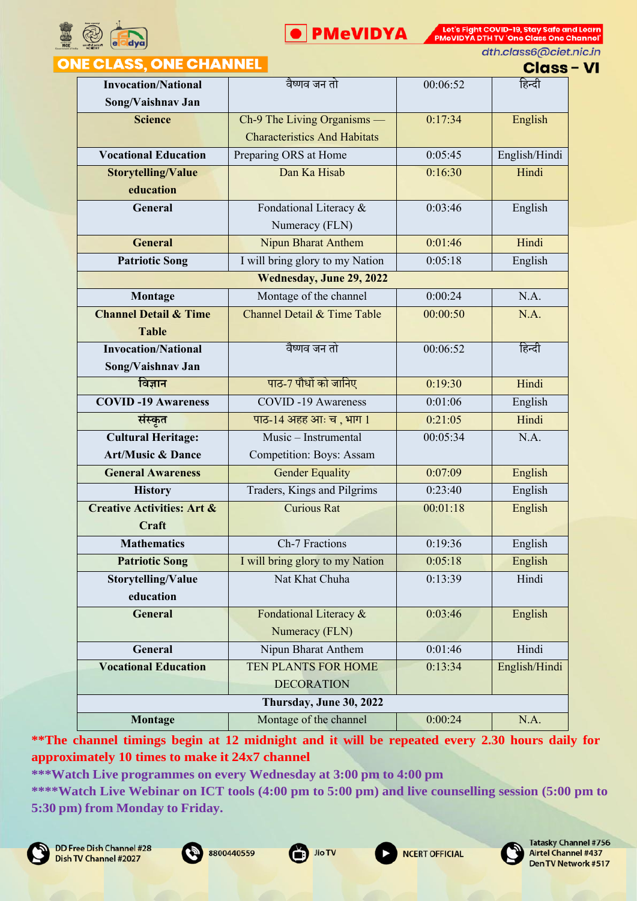



dth.class6@ciet.nic.in

## **ONE CLASS, ONE CHANNEL**

**Class - VI** 

| <b>Invocation/National</b>            | वैष्णव जन तो                        | 00:06:52 | हिन्दी        |
|---------------------------------------|-------------------------------------|----------|---------------|
| Song/Vaishnav Jan                     |                                     |          |               |
| <b>Science</b>                        | Ch-9 The Living Organisms —         | 0:17:34  | English       |
|                                       | <b>Characteristics And Habitats</b> |          |               |
| <b>Vocational Education</b>           | Preparing ORS at Home               | 0:05:45  | English/Hindi |
| <b>Storytelling/Value</b>             | Dan Ka Hisab                        | 0:16:30  | Hindi         |
| education                             |                                     |          |               |
| General                               | Fondational Literacy &              | 0:03:46  | English       |
|                                       | Numeracy (FLN)                      |          |               |
| <b>General</b>                        | <b>Nipun Bharat Anthem</b>          | 0:01:46  | Hindi         |
| <b>Patriotic Song</b>                 | I will bring glory to my Nation     | 0:05:18  | English       |
|                                       | Wednesday, June 29, 2022            |          |               |
| Montage                               | Montage of the channel              | 0:00:24  | N.A.          |
| <b>Channel Detail &amp; Time</b>      | Channel Detail & Time Table         | 00:00:50 | N.A.          |
| <b>Table</b>                          |                                     |          |               |
| <b>Invocation/National</b>            | वैष्णव जन तो                        | 00:06:52 | हिन्दी        |
| Song/Vaishnav Jan                     |                                     |          |               |
| विज्ञान                               | पाठ-7 पौधों को जानिए                | 0:19:30  | Hindi         |
| <b>COVID-19 Awareness</b>             | <b>COVID-19 Awareness</b>           | 0:01:06  | English       |
| संस्कृत                               | पाठ-14 अहह आः च, भाग 1              | 0:21:05  | Hindi         |
| <b>Cultural Heritage:</b>             | Music - Instrumental                | 00:05:34 | N.A.          |
| <b>Art/Music &amp; Dance</b>          | Competition: Boys: Assam            |          |               |
| <b>General Awareness</b>              | <b>Gender Equality</b>              | 0:07:09  | English       |
| <b>History</b>                        | Traders, Kings and Pilgrims         | 0:23:40  | English       |
| <b>Creative Activities: Art &amp;</b> | <b>Curious Rat</b>                  | 00:01:18 | English       |
| Craft                                 |                                     |          |               |
| <b>Mathematics</b>                    | Ch-7 Fractions                      | 0:19:36  | English       |
| <b>Patriotic Song</b>                 | I will bring glory to my Nation     | 0:05:18  | English       |
| Storytelling/Value                    | Nat Khat Chuha                      | 0:13:39  | Hindi         |
| education                             |                                     |          |               |
| <b>General</b>                        | Fondational Literacy &              | 0:03:46  | English       |
|                                       | Numeracy (FLN)                      |          |               |
| General                               | Nipun Bharat Anthem                 | 0:01:46  | Hindi         |
| <b>Vocational Education</b>           | TEN PLANTS FOR HOME                 | 0:13:34  | English/Hindi |
|                                       | <b>DECORATION</b>                   |          |               |
| Thursday, June 30, 2022               |                                     |          |               |
| Montage                               | Montage of the channel              | 0:00:24  | N.A.          |

**\*\*The channel timings begin at 12 midnight and it will be repeated every 2.30 hours daily for approximately 10 times to make it 24x7 channel**

**\*\*\*Watch Live programmes on every Wednesday at 3:00 pm to 4:00 pm**